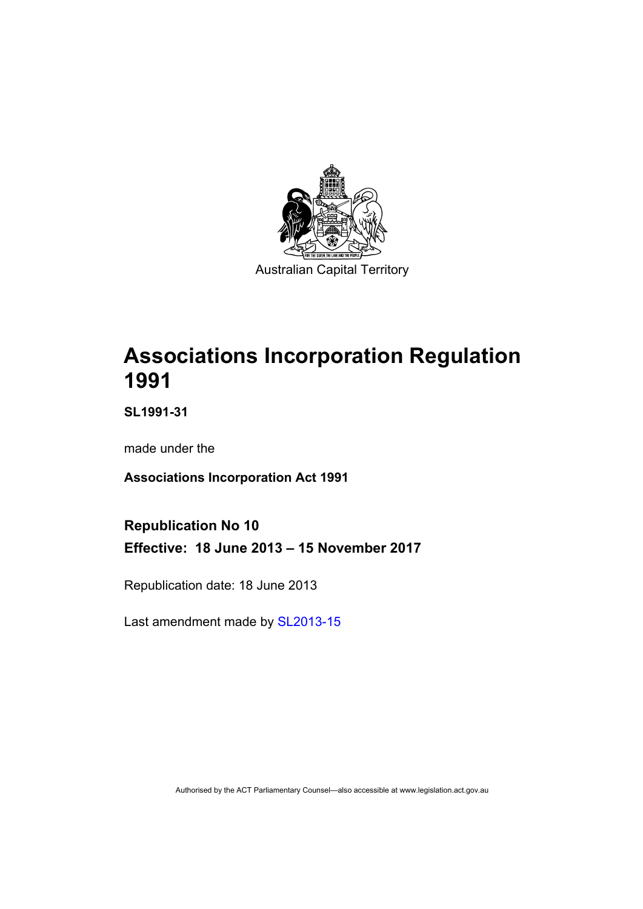

# **Associations Incorporation Regulation 1991**

**SL1991-31** 

made under the

**Associations Incorporation Act 1991** 

**Republication No 10 Effective: 18 June 2013 – 15 November 2017** 

Republication date: 18 June 2013

Last amendment made by [SL2013-15](http://www.legislation.act.gov.au/sl/2013-15)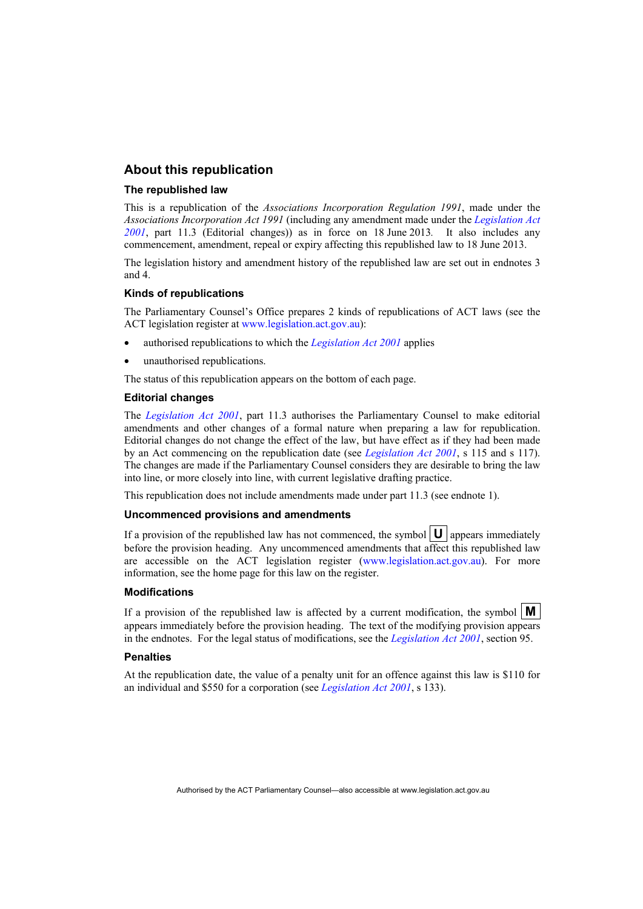#### **About this republication**

#### **The republished law**

This is a republication of the *Associations Incorporation Regulation 1991*, made under the *Associations Incorporation Act 1991* (including any amendment made under the *[Legislation Act](http://www.legislation.act.gov.au/a/2001-14)  [2001](http://www.legislation.act.gov.au/a/2001-14)*, part 11.3 (Editorial changes)) as in force on 18 June 2013*.* It also includes any commencement, amendment, repeal or expiry affecting this republished law to 18 June 2013.

The legislation history and amendment history of the republished law are set out in endnotes 3 and 4.

#### **Kinds of republications**

The Parliamentary Counsel's Office prepares 2 kinds of republications of ACT laws (see the ACT legislation register at [www.legislation.act.gov.au](http://www.legislation.act.gov.au/)):

- authorised republications to which the *[Legislation Act 2001](http://www.legislation.act.gov.au/a/2001-14)* applies
- unauthorised republications.

The status of this republication appears on the bottom of each page.

#### **Editorial changes**

The *[Legislation Act 2001](http://www.legislation.act.gov.au/a/2001-14)*, part 11.3 authorises the Parliamentary Counsel to make editorial amendments and other changes of a formal nature when preparing a law for republication. Editorial changes do not change the effect of the law, but have effect as if they had been made by an Act commencing on the republication date (see *[Legislation Act 2001](http://www.legislation.act.gov.au/a/2001-14)*, s 115 and s 117). The changes are made if the Parliamentary Counsel considers they are desirable to bring the law into line, or more closely into line, with current legislative drafting practice.

This republication does not include amendments made under part 11.3 (see endnote 1).

#### **Uncommenced provisions and amendments**

If a provision of the republished law has not commenced, the symbol  $\mathbf{U}$  appears immediately before the provision heading. Any uncommenced amendments that affect this republished law are accessible on the ACT legislation register [\(www.legislation.act.gov.au\)](http://www.legislation.act.gov.au/). For more information, see the home page for this law on the register.

#### **Modifications**

If a provision of the republished law is affected by a current modification, the symbol  $\mathbf{M}$ appears immediately before the provision heading. The text of the modifying provision appears in the endnotes. For the legal status of modifications, see the *[Legislation Act 2001](http://www.legislation.act.gov.au/a/2001-14)*, section 95.

#### **Penalties**

At the republication date, the value of a penalty unit for an offence against this law is \$110 for an individual and \$550 for a corporation (see *[Legislation Act 2001](http://www.legislation.act.gov.au/a/2001-14)*, s 133).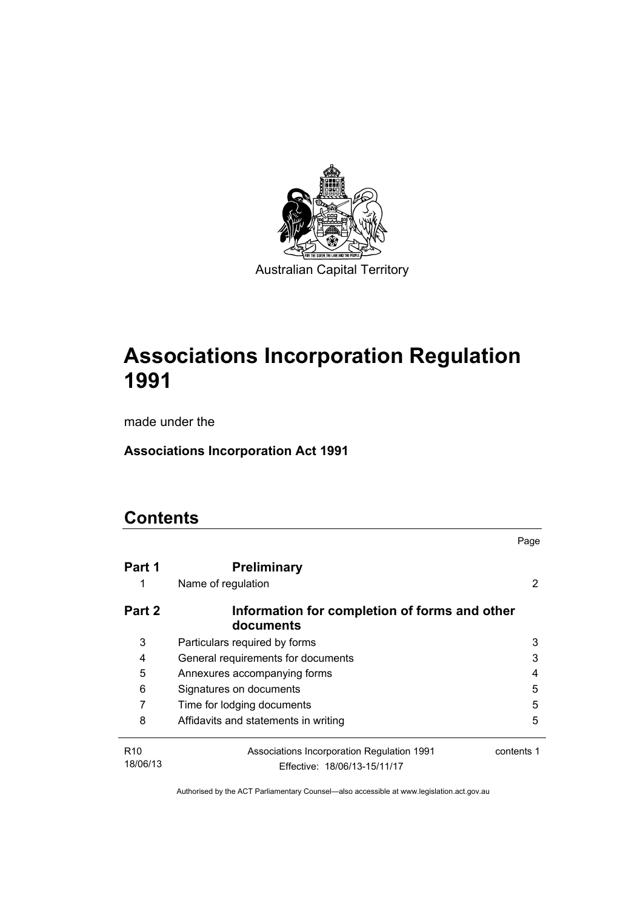

# **Associations Incorporation Regulation 1991**

made under the

**Associations Incorporation Act 1991** 

# **Contents**

|                             |                                                                            | Page       |
|-----------------------------|----------------------------------------------------------------------------|------------|
| Part 1                      | <b>Preliminary</b>                                                         |            |
| 1                           | Name of regulation                                                         | 2          |
| Part 2                      | Information for completion of forms and other<br>documents                 |            |
| 3                           | Particulars required by forms                                              | 3          |
| 4                           | General requirements for documents                                         | 3          |
| 5                           | Annexures accompanying forms                                               | 4          |
| 6                           | Signatures on documents                                                    | 5          |
| 7                           | Time for lodging documents                                                 | 5          |
| 8                           | Affidavits and statements in writing                                       | 5          |
| R <sub>10</sub><br>18/06/13 | Associations Incorporation Regulation 1991<br>Effective: 18/06/13-15/11/17 | contents 1 |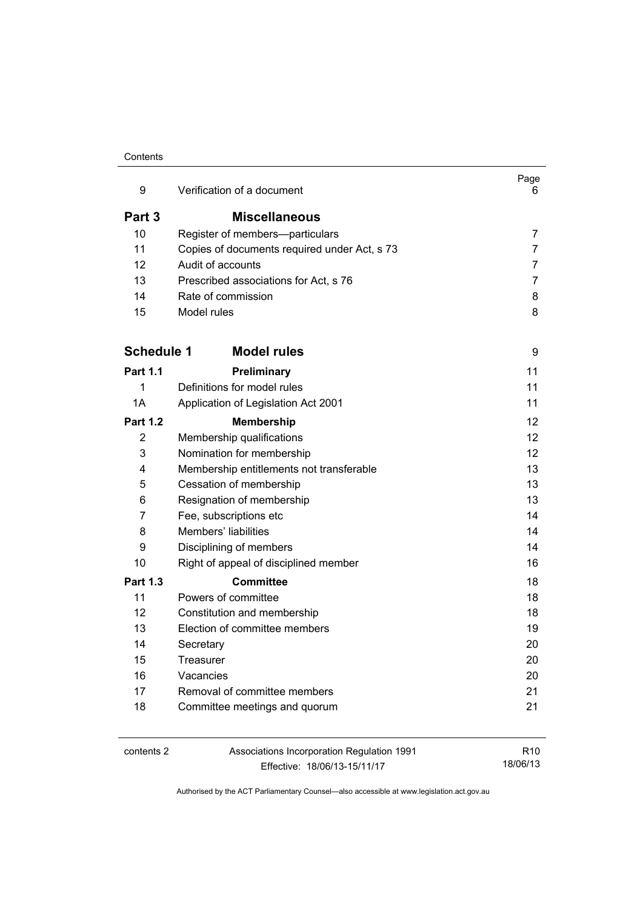#### **Contents**

| 9                 | Verification of a document                   | Page<br>6.      |
|-------------------|----------------------------------------------|-----------------|
| Part 3            | <b>Miscellaneous</b>                         |                 |
| 10                | Register of members-particulars              | 7               |
| 11                | Copies of documents required under Act, s 73 | $\overline{7}$  |
| 12                | Audit of accounts                            | 7               |
| 13                | Prescribed associations for Act, s 76        | 7               |
| 14                | Rate of commission                           | 8               |
| 15                | Model rules                                  | 8               |
| <b>Schedule 1</b> | <b>Model rules</b>                           | 9               |
| Part 1.1          | Preliminary                                  | 11              |
| 1                 | Definitions for model rules                  | 11              |
| 1A                | Application of Legislation Act 2001          | 11              |
| <b>Part 1.2</b>   | <b>Membership</b>                            | 12              |
| 2                 | Membership qualifications                    | 12 <sup>°</sup> |
| 3                 | Nomination for membership                    | 12 <sup>°</sup> |
| 4                 | Membership entitlements not transferable     | 13              |
| 5                 | Cessation of membership                      | 13              |
| 6                 | Resignation of membership                    |                 |
| 7                 | Fee, subscriptions etc<br>14                 |                 |
| 8                 | Members' liabilities                         | 14              |
| 9                 | Disciplining of members                      | 14              |
| 10                | Right of appeal of disciplined member        | 16              |
| <b>Part 1.3</b>   | <b>Committee</b>                             | 18              |
| 11                | Powers of committee                          | 18              |
| 12                | Constitution and membership                  | 18              |
| 13                | Election of committee members                | 19              |
| 14                | Secretary                                    | 20              |
| 15                | Treasurer                                    | 20              |
| 16                | Vacancies                                    | 20              |
| 17                | Removal of committee members                 | 21              |
| 18                | Committee meetings and quorum                | 21              |

contents 2 Associations Incorporation Regulation 1991 Effective: 18/06/13-15/11/17

R10 18/06/13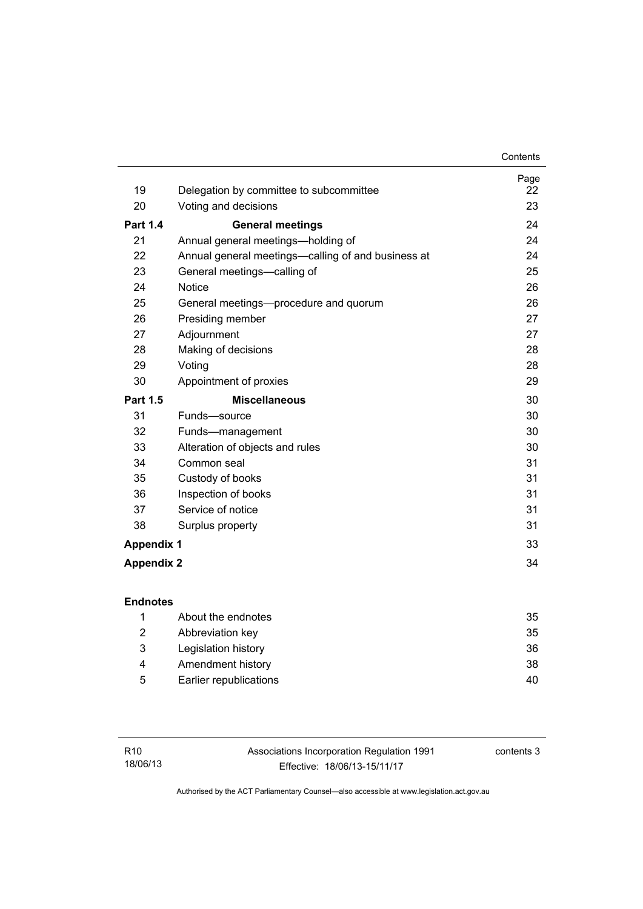| 19                | Delegation by committee to subcommittee            | Page<br>22 |
|-------------------|----------------------------------------------------|------------|
| 20                | Voting and decisions                               | 23         |
|                   |                                                    |            |
| <b>Part 1.4</b>   | <b>General meetings</b>                            | 24         |
| 21                | Annual general meetings—holding of                 | 24         |
| 22                | Annual general meetings-calling of and business at | 24         |
| 23                | General meetings-calling of                        | 25         |
| 24                | <b>Notice</b>                                      | 26         |
| 25                | General meetings—procedure and quorum              | 26         |
| 26                | Presiding member                                   | 27         |
| 27                | Adjournment                                        | 27         |
| 28                | Making of decisions                                | 28         |
| 29                | Voting                                             | 28         |
| 30                | Appointment of proxies                             | 29         |
| <b>Part 1.5</b>   | <b>Miscellaneous</b>                               | 30         |
| 31                | Funds-source                                       | 30         |
| 32                | Funds-management                                   | 30         |
| 33                | Alteration of objects and rules                    | 30         |
| 34                | Common seal                                        | 31         |
| 35                | Custody of books                                   | 31         |
| 36                | Inspection of books                                | 31         |
| 37                | Service of notice                                  | 31         |
| 38                | Surplus property                                   | 31         |
| <b>Appendix 1</b> |                                                    | 33         |
| <b>Appendix 2</b> |                                                    | 34         |

|   | About the endnotes     | 35 |
|---|------------------------|----|
| 2 | Abbreviation key       | 35 |
| 3 | Legislation history    | 36 |
| 4 | Amendment history      | 38 |
| 5 | Earlier republications | 40 |
|   |                        |    |

Associations Incorporation Regulation 1991 Effective: 18/06/13-15/11/17

contents 3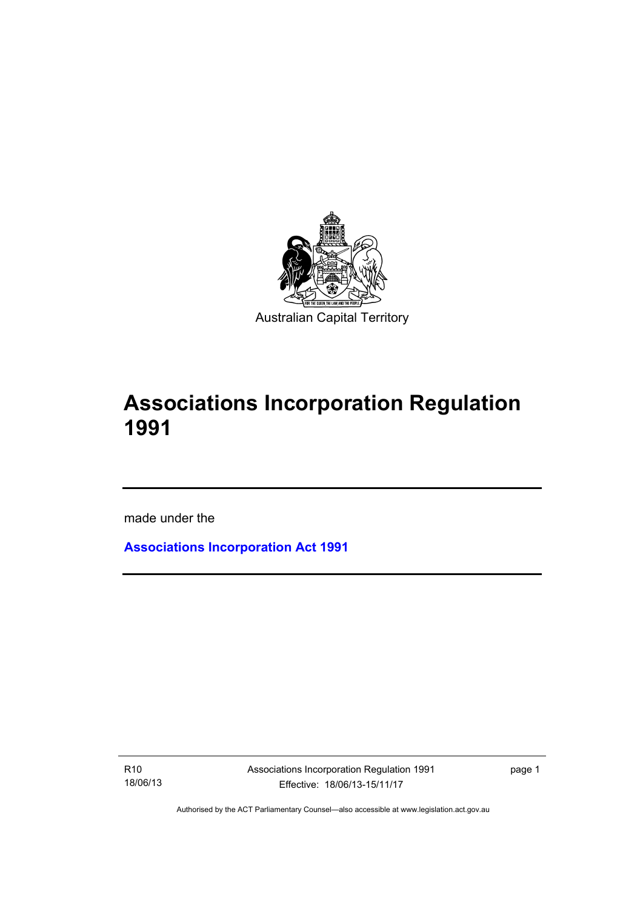

# **Associations Incorporation Regulation 1991**

made under the

**[Associations Incorporation Act 1991](http://www.legislation.act.gov.au/a/1991-46)**

R10 18/06/13

Ī

Associations Incorporation Regulation 1991 Effective: 18/06/13-15/11/17

page 1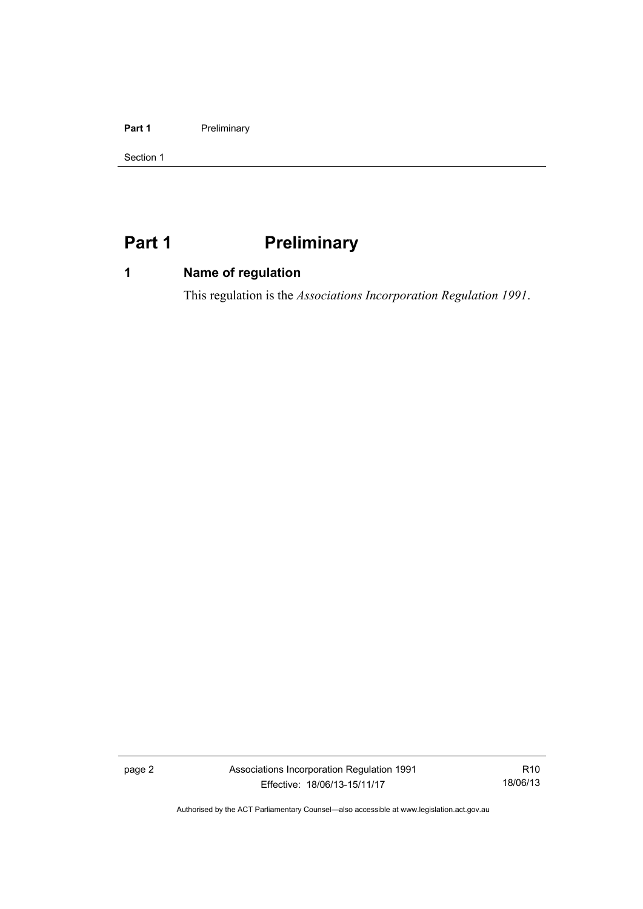#### Part 1 **Preliminary**

Section 1

# <span id="page-7-0"></span>**Part 1** Preliminary

# <span id="page-7-1"></span>**1 Name of regulation**

This regulation is the *Associations Incorporation Regulation 1991*.

page 2 Associations Incorporation Regulation 1991 Effective: 18/06/13-15/11/17

R10 18/06/13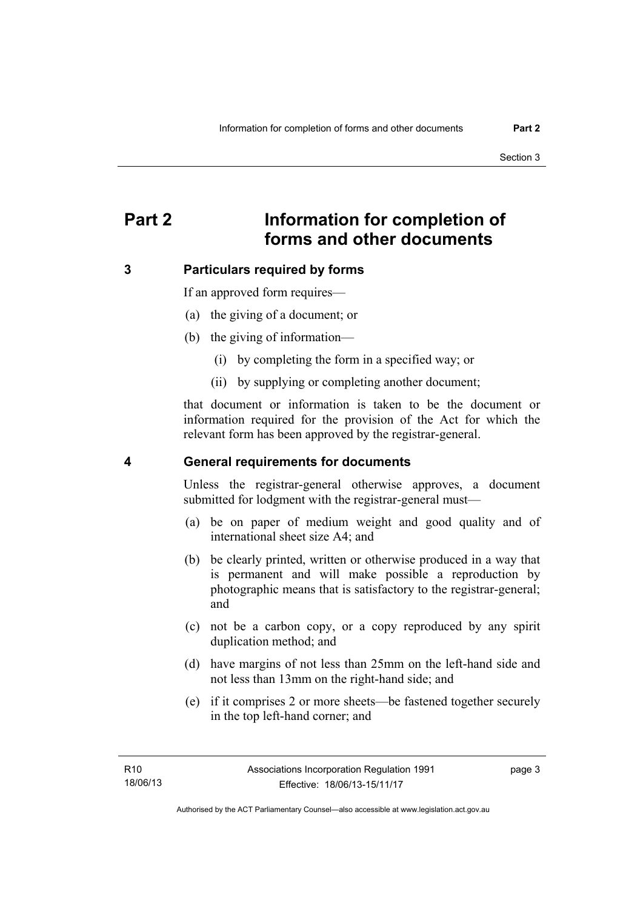# <span id="page-8-0"></span>**Part 2 Information for completion of forms and other documents**

### <span id="page-8-1"></span>**3 Particulars required by forms**

If an approved form requires—

- (a) the giving of a document; or
- (b) the giving of information—
	- (i) by completing the form in a specified way; or
	- (ii) by supplying or completing another document;

that document or information is taken to be the document or information required for the provision of the Act for which the relevant form has been approved by the registrar-general.

#### <span id="page-8-2"></span>**4 General requirements for documents**

Unless the registrar-general otherwise approves, a document submitted for lodgment with the registrar-general must—

- (a) be on paper of medium weight and good quality and of international sheet size A4; and
- (b) be clearly printed, written or otherwise produced in a way that is permanent and will make possible a reproduction by photographic means that is satisfactory to the registrar-general; and
- (c) not be a carbon copy, or a copy reproduced by any spirit duplication method; and
- (d) have margins of not less than 25mm on the left-hand side and not less than 13mm on the right-hand side; and
- (e) if it comprises 2 or more sheets—be fastened together securely in the top left-hand corner; and

page 3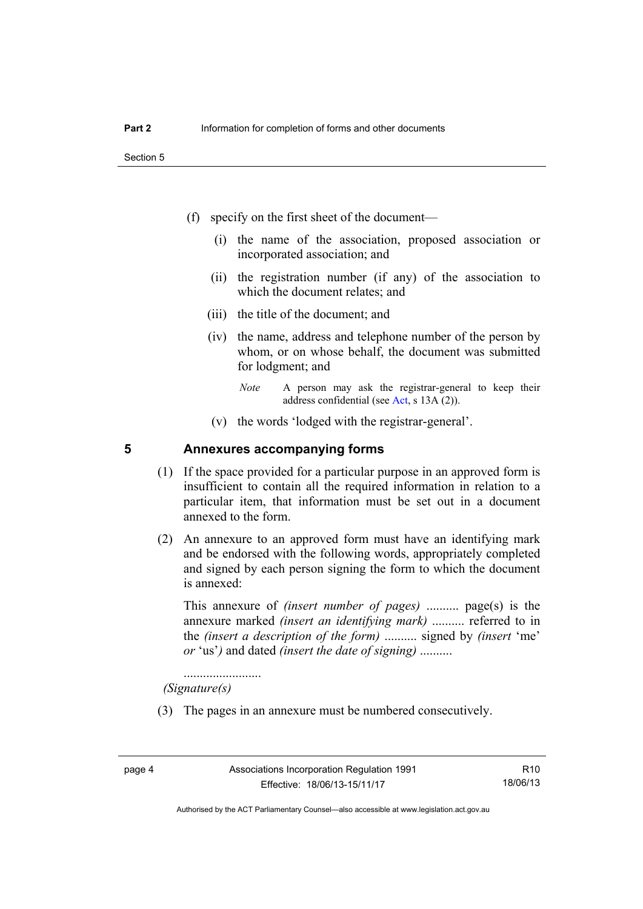- (f) specify on the first sheet of the document—
	- (i) the name of the association, proposed association or incorporated association; and
	- (ii) the registration number (if any) of the association to which the document relates; and
	- (iii) the title of the document; and
	- (iv) the name, address and telephone number of the person by whom, or on whose behalf, the document was submitted for lodgment; and
		- *Note* A person may ask the registrar-general to keep their address confidential (see [Act,](http://www.legislation.act.gov.au/a/1991-46/default.asp) s 13A (2)).
	- (v) the words 'lodged with the registrar-general'.

#### <span id="page-9-0"></span>**5 Annexures accompanying forms**

- (1) If the space provided for a particular purpose in an approved form is insufficient to contain all the required information in relation to a particular item, that information must be set out in a document annexed to the form.
- (2) An annexure to an approved form must have an identifying mark and be endorsed with the following words, appropriately completed and signed by each person signing the form to which the document is annexed:

This annexure of *(insert number of pages)* .......... page(s) is the annexure marked *(insert an identifying mark)* .......... referred to in the *(insert a description of the form)* .......... signed by *(insert* 'me' *or* 'us'*)* and dated *(insert the date of signing)* ..........

........................  *(Signature(s)*

(3) The pages in an annexure must be numbered consecutively.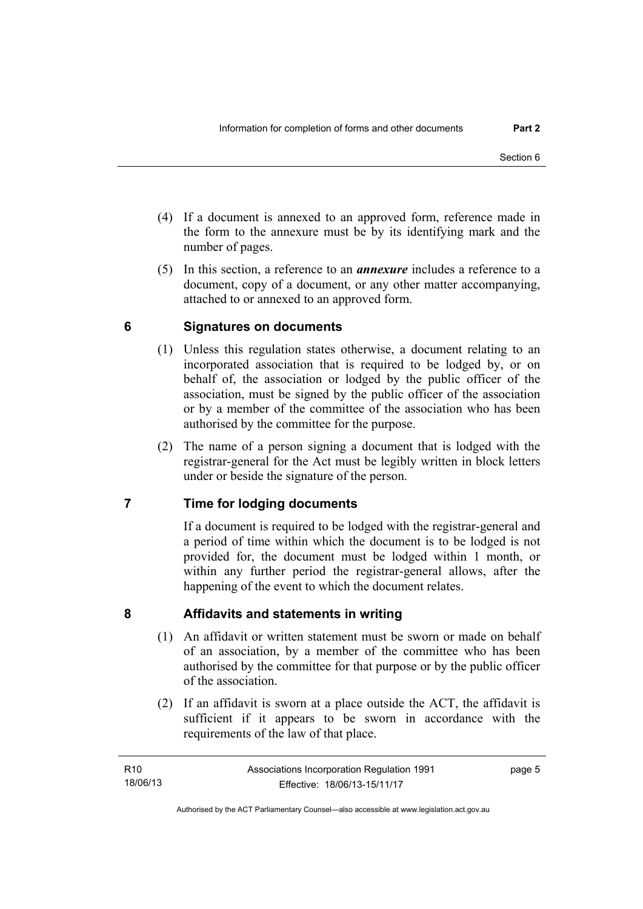- (4) If a document is annexed to an approved form, reference made in the form to the annexure must be by its identifying mark and the number of pages.
- (5) In this section, a reference to an *annexure* includes a reference to a document, copy of a document, or any other matter accompanying, attached to or annexed to an approved form.

# <span id="page-10-0"></span>**6 Signatures on documents**

- (1) Unless this regulation states otherwise, a document relating to an incorporated association that is required to be lodged by, or on behalf of, the association or lodged by the public officer of the association, must be signed by the public officer of the association or by a member of the committee of the association who has been authorised by the committee for the purpose.
- (2) The name of a person signing a document that is lodged with the registrar-general for the Act must be legibly written in block letters under or beside the signature of the person.

# <span id="page-10-1"></span>**7 Time for lodging documents**

If a document is required to be lodged with the registrar-general and a period of time within which the document is to be lodged is not provided for, the document must be lodged within 1 month, or within any further period the registrar-general allows, after the happening of the event to which the document relates.

### <span id="page-10-2"></span>**8 Affidavits and statements in writing**

- (1) An affidavit or written statement must be sworn or made on behalf of an association, by a member of the committee who has been authorised by the committee for that purpose or by the public officer of the association.
- (2) If an affidavit is sworn at a place outside the ACT, the affidavit is sufficient if it appears to be sworn in accordance with the requirements of the law of that place.

page 5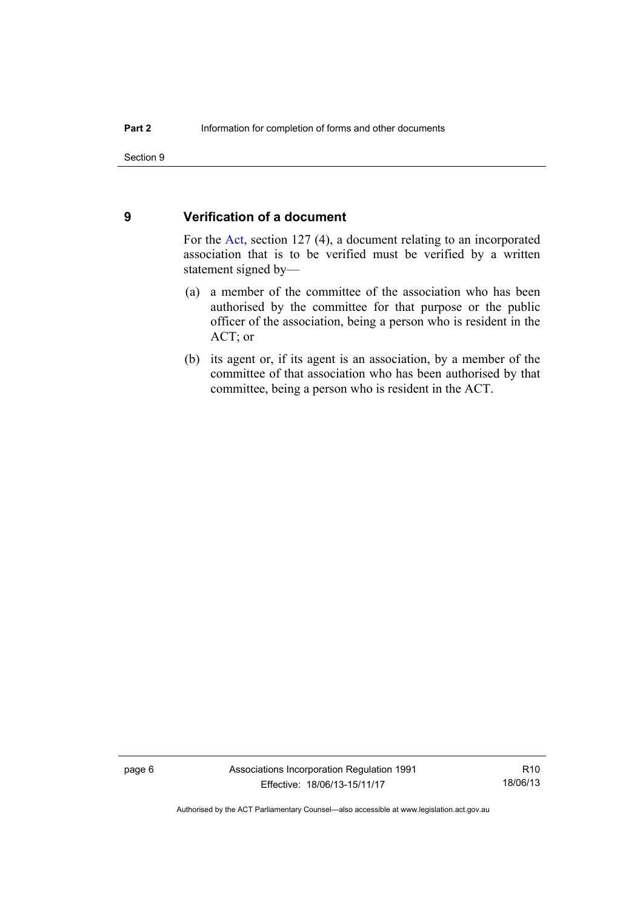#### <span id="page-11-0"></span>**9 Verification of a document**

For the [Act,](http://www.legislation.act.gov.au/a/1991-46/default.asp) section 127 (4), a document relating to an incorporated association that is to be verified must be verified by a written statement signed by—

- (a) a member of the committee of the association who has been authorised by the committee for that purpose or the public officer of the association, being a person who is resident in the ACT; or
- (b) its agent or, if its agent is an association, by a member of the committee of that association who has been authorised by that committee, being a person who is resident in the ACT.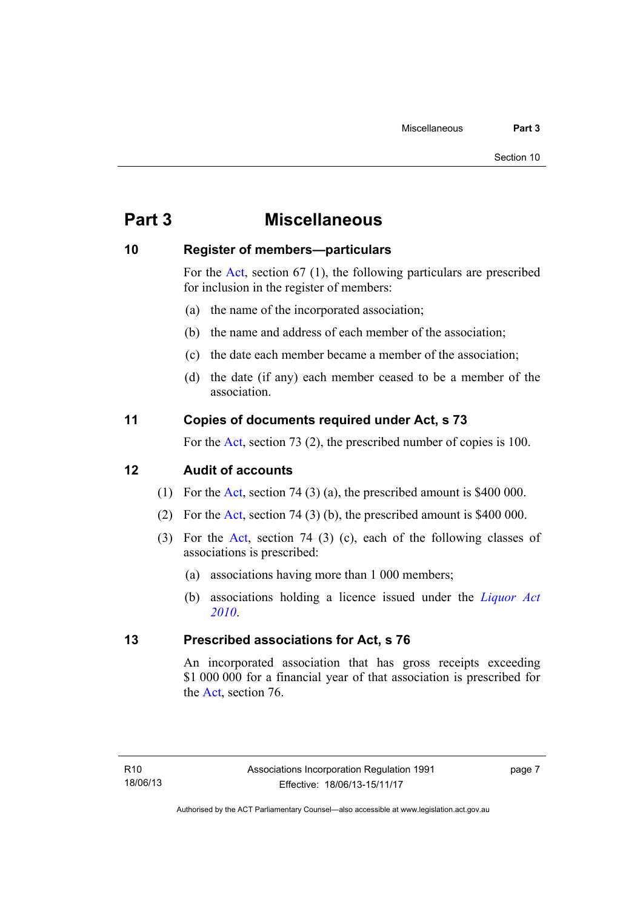# <span id="page-12-0"></span>**Part 3 Miscellaneous**

#### <span id="page-12-1"></span>**10 Register of members—particulars**

For the [Act,](http://www.legislation.act.gov.au/a/1991-46/default.asp) section 67 (1), the following particulars are prescribed for inclusion in the register of members:

- (a) the name of the incorporated association;
- (b) the name and address of each member of the association;
- (c) the date each member became a member of the association;
- (d) the date (if any) each member ceased to be a member of the association.

### <span id="page-12-2"></span>**11 Copies of documents required under Act, s 73**

For the [Act,](http://www.legislation.act.gov.au/a/1991-46/default.asp) section 73 (2), the prescribed number of copies is 100.

### <span id="page-12-3"></span>**12 Audit of accounts**

- (1) For the [Act,](http://www.legislation.act.gov.au/a/1991-46/default.asp) section 74 (3) (a), the prescribed amount is \$400 000.
- (2) For the [Act,](http://www.legislation.act.gov.au/a/1991-46/default.asp) section 74 (3) (b), the prescribed amount is \$400 000.
- (3) For the [Act,](http://www.legislation.act.gov.au/a/1991-46/default.asp) section 74 (3) (c), each of the following classes of associations is prescribed:
	- (a) associations having more than 1 000 members;
	- (b) associations holding a licence issued under the *[Liquor Act](http://www.legislation.act.gov.au/a/2010-35)  [2010](http://www.legislation.act.gov.au/a/2010-35)*.

### <span id="page-12-4"></span>**13 Prescribed associations for Act, s 76**

An incorporated association that has gross receipts exceeding \$1 000 000 for a financial year of that association is prescribed for the [Act](http://www.legislation.act.gov.au/a/1991-46/default.asp), section 76.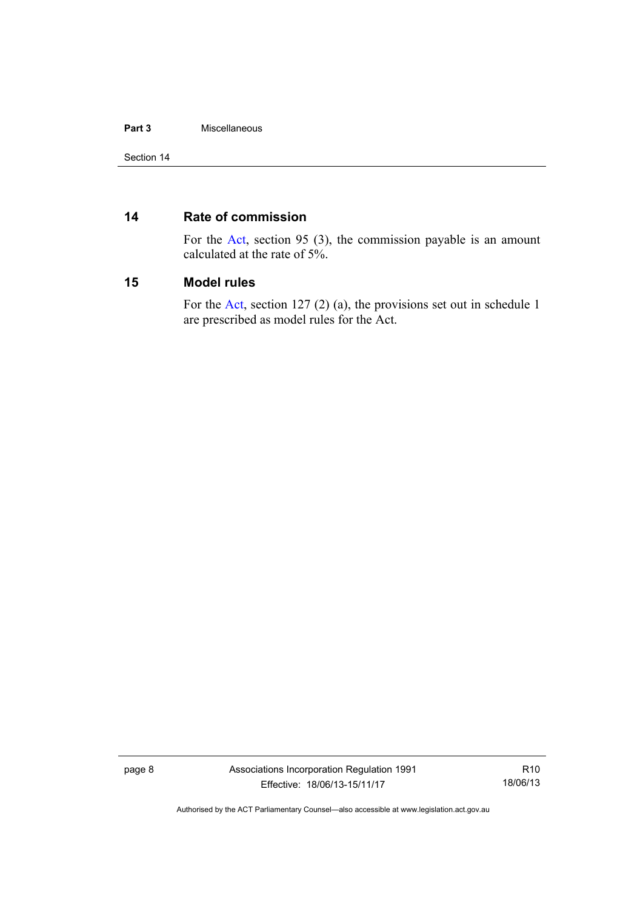#### **Part 3** Miscellaneous

#### <span id="page-13-0"></span>**14 Rate of commission**

For the [Act,](http://www.legislation.act.gov.au/a/1991-46/default.asp) section 95 (3), the commission payable is an amount calculated at the rate of 5%.

#### <span id="page-13-1"></span>**15 Model rules**

For the [Act,](http://www.legislation.act.gov.au/a/1991-46/default.asp) section 127 (2) (a), the provisions set out in schedule 1 are prescribed as model rules for the Act.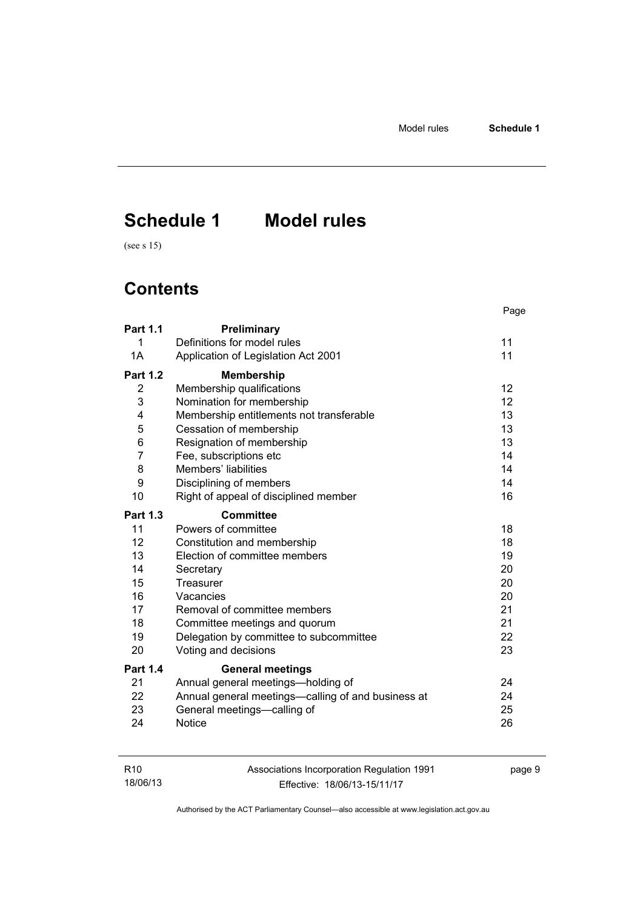page 9

# <span id="page-14-0"></span>**Schedule 1 Model rules**

(see s 15)

# **Contents**

|                 |                                                    | Page              |
|-----------------|----------------------------------------------------|-------------------|
| <b>Part 1.1</b> | Preliminary                                        |                   |
| 1               | Definitions for model rules                        | 11                |
| 1A              | Application of Legislation Act 2001                | 11                |
| <b>Part 1.2</b> | <b>Membership</b>                                  |                   |
| 2               | Membership qualifications                          | $12 \overline{ }$ |
| 3               | Nomination for membership                          | 12                |
| 4               | Membership entitlements not transferable           | 13                |
| 5               | Cessation of membership                            | 13                |
| 6               | Resignation of membership                          | 13                |
| $\overline{7}$  | Fee, subscriptions etc                             | 14                |
| 8               | Members' liabilities                               | 14                |
| 9               | Disciplining of members                            | 14                |
| 10              | Right of appeal of disciplined member              | 16                |
| <b>Part 1.3</b> | Committee                                          |                   |
| 11              | Powers of committee                                | 18                |
| 12 <sup>2</sup> | Constitution and membership                        | 18                |
| 13              | Election of committee members                      | 19                |
| 14              | Secretary                                          | 20                |
| 15              | Treasurer                                          | 20                |
| 16              | Vacancies                                          | 20                |
| 17              | Removal of committee members                       | 21                |
| 18              | Committee meetings and quorum                      | 21                |
| 19              | Delegation by committee to subcommittee            | 22                |
| 20              | Voting and decisions                               | 23                |
| <b>Part 1.4</b> | <b>General meetings</b>                            |                   |
| 21              | Annual general meetings-holding of                 | 24                |
| 22              | Annual general meetings—calling of and business at | 24                |
| 23              | General meetings-calling of                        | 25                |
| 24              | <b>Notice</b>                                      | 26                |

| R10      | Associations Incorporation Regulation 1991 |  |
|----------|--------------------------------------------|--|
| 18/06/13 | Effective: 18/06/13-15/11/17               |  |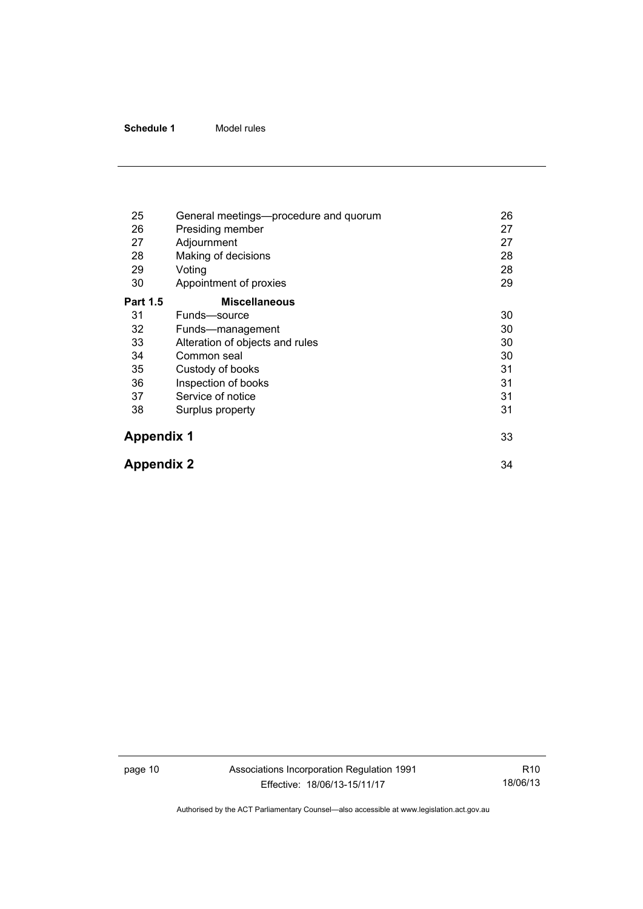| 25                | General meetings-procedure and quorum | 26 |
|-------------------|---------------------------------------|----|
| 26                | Presiding member                      | 27 |
| 27                | Adjournment                           | 27 |
| 28                | Making of decisions                   | 28 |
| 29                | Voting                                | 28 |
| 30                | Appointment of proxies                | 29 |
| <b>Part 1.5</b>   | <b>Miscellaneous</b>                  |    |
| 31                | Funds-source                          | 30 |
| 32                | Funds—management                      | 30 |
| 33                | Alteration of objects and rules       | 30 |
| 34                | Common seal                           | 30 |
| 35                | Custody of books                      | 31 |
| 36                | Inspection of books                   | 31 |
| 37                | Service of notice                     | 31 |
| 38                | Surplus property                      | 31 |
| <b>Appendix 1</b> |                                       | 33 |
| <b>Appendix 2</b> |                                       | 34 |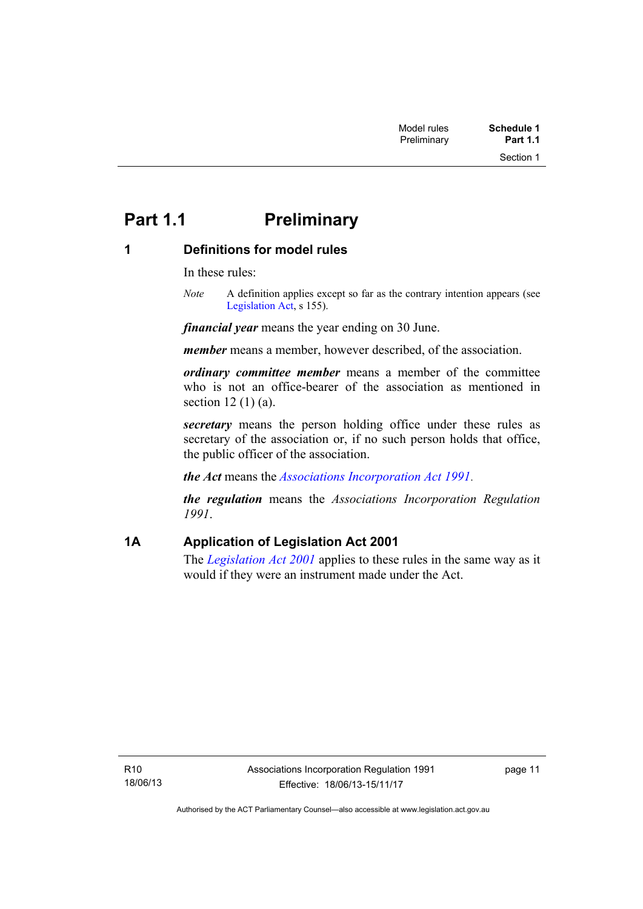# <span id="page-16-0"></span>**Part 1.1** Preliminary

# <span id="page-16-1"></span>**1 Definitions for model rules**

In these rules:

*Note* A definition applies except so far as the contrary intention appears (see [Legislation Act,](http://www.legislation.act.gov.au/a/2001-14) s 155).

*financial year* means the year ending on 30 June.

*member* means a member, however described, of the association.

*ordinary committee member* means a member of the committee who is not an office-bearer of the association as mentioned in section 12 (1) (a).

*secretary* means the person holding office under these rules as secretary of the association or, if no such person holds that office, the public officer of the association.

*the Act* means the *[Associations Incorporation Act 1991](http://www.legislation.act.gov.au/a/1991-46)*.

*the regulation* means the *Associations Incorporation Regulation 1991*.

# <span id="page-16-2"></span>**1A Application of Legislation Act 2001**

The *[Legislation Act 2001](http://www.legislation.act.gov.au/a/2001-14)* applies to these rules in the same way as it would if they were an instrument made under the Act.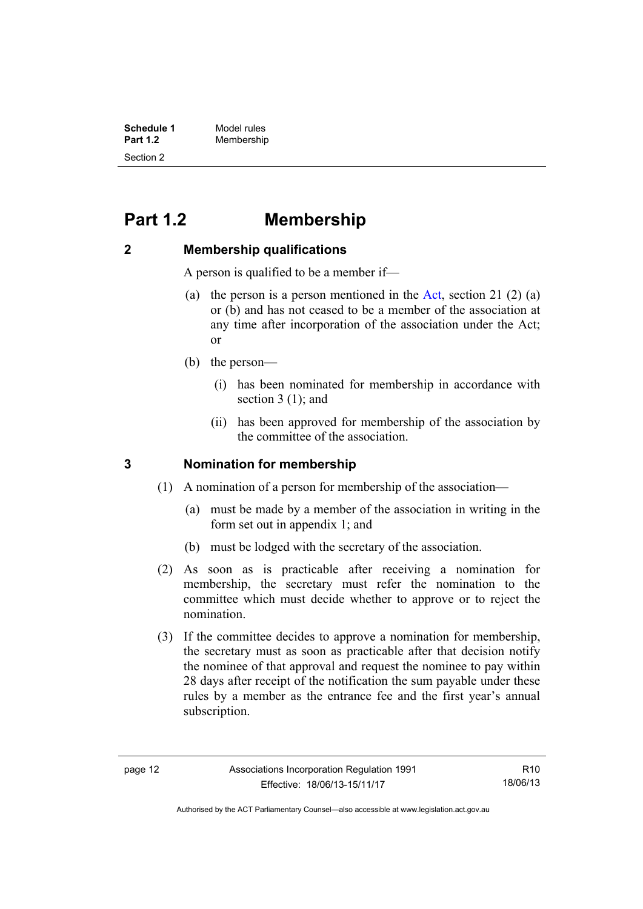| <b>Schedule 1</b> | Model rules |
|-------------------|-------------|
| <b>Part 1.2</b>   | Membership  |
| Section 2         |             |

# <span id="page-17-0"></span>**Part 1.2 Membership**

#### <span id="page-17-1"></span>**2 Membership qualifications**

A person is qualified to be a member if—

- (a) the person is a person mentioned in the [Act](http://www.legislation.act.gov.au/a/1991-46/default.asp), section 21 (2) (a) or (b) and has not ceased to be a member of the association at any time after incorporation of the association under the Act; or
- (b) the person—
	- (i) has been nominated for membership in accordance with section 3 (1); and
	- (ii) has been approved for membership of the association by the committee of the association.

#### <span id="page-17-2"></span>**3 Nomination for membership**

- (1) A nomination of a person for membership of the association—
	- (a) must be made by a member of the association in writing in the form set out in appendix 1; and
	- (b) must be lodged with the secretary of the association.
- (2) As soon as is practicable after receiving a nomination for membership, the secretary must refer the nomination to the committee which must decide whether to approve or to reject the nomination.
- (3) If the committee decides to approve a nomination for membership, the secretary must as soon as practicable after that decision notify the nominee of that approval and request the nominee to pay within 28 days after receipt of the notification the sum payable under these rules by a member as the entrance fee and the first year's annual subscription.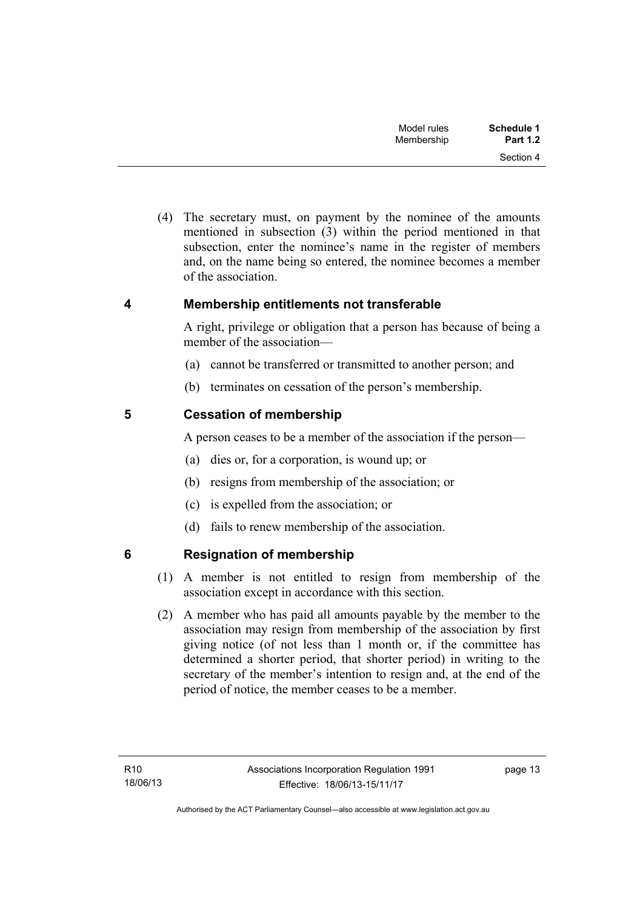| Schedule 1      | Model rules |
|-----------------|-------------|
| <b>Part 1.2</b> | Membership  |
| Section 4       |             |

 (4) The secretary must, on payment by the nominee of the amounts mentioned in subsection (3) within the period mentioned in that subsection, enter the nominee's name in the register of members and, on the name being so entered, the nominee becomes a member of the association.

#### <span id="page-18-0"></span>**4 Membership entitlements not transferable**

A right, privilege or obligation that a person has because of being a member of the association—

- (a) cannot be transferred or transmitted to another person; and
- (b) terminates on cessation of the person's membership.

### <span id="page-18-1"></span>**5 Cessation of membership**

A person ceases to be a member of the association if the person—

- (a) dies or, for a corporation, is wound up; or
- (b) resigns from membership of the association; or
- (c) is expelled from the association; or
- (d) fails to renew membership of the association.

# <span id="page-18-2"></span>**6 Resignation of membership**

- (1) A member is not entitled to resign from membership of the association except in accordance with this section.
- (2) A member who has paid all amounts payable by the member to the association may resign from membership of the association by first giving notice (of not less than 1 month or, if the committee has determined a shorter period, that shorter period) in writing to the secretary of the member's intention to resign and, at the end of the period of notice, the member ceases to be a member.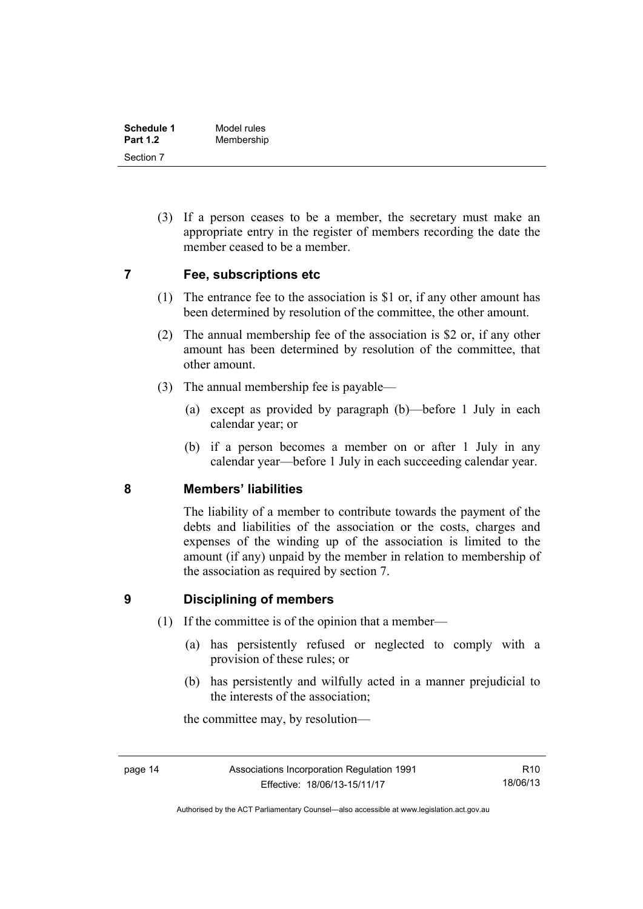| Schedule 1      | Model rules |
|-----------------|-------------|
| <b>Part 1.2</b> | Membership  |
| Section 7       |             |

 (3) If a person ceases to be a member, the secretary must make an appropriate entry in the register of members recording the date the member ceased to be a member.

#### <span id="page-19-0"></span>**7 Fee, subscriptions etc**

- (1) The entrance fee to the association is \$1 or, if any other amount has been determined by resolution of the committee, the other amount.
- (2) The annual membership fee of the association is \$2 or, if any other amount has been determined by resolution of the committee, that other amount.
- (3) The annual membership fee is payable—
	- (a) except as provided by paragraph (b)—before 1 July in each calendar year; or
	- (b) if a person becomes a member on or after 1 July in any calendar year—before 1 July in each succeeding calendar year.

#### <span id="page-19-1"></span>**8 Members' liabilities**

The liability of a member to contribute towards the payment of the debts and liabilities of the association or the costs, charges and expenses of the winding up of the association is limited to the amount (if any) unpaid by the member in relation to membership of the association as required by section 7.

### <span id="page-19-2"></span>**9 Disciplining of members**

- (1) If the committee is of the opinion that a member—
	- (a) has persistently refused or neglected to comply with a provision of these rules; or
	- (b) has persistently and wilfully acted in a manner prejudicial to the interests of the association;

the committee may, by resolution—

Authorised by the ACT Parliamentary Counsel—also accessible at www.legislation.act.gov.au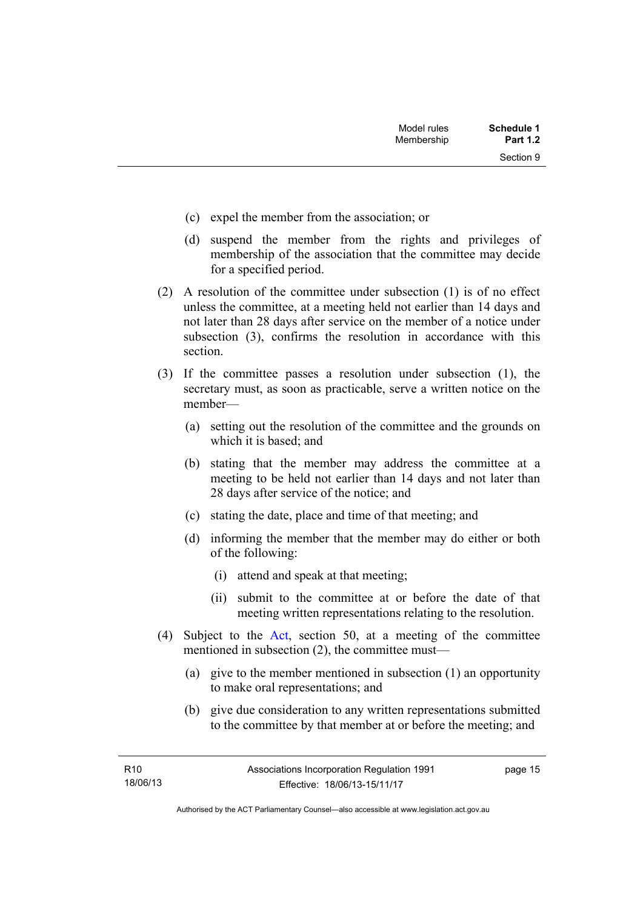Section 9

- (c) expel the member from the association; or
- (d) suspend the member from the rights and privileges of membership of the association that the committee may decide for a specified period.
- (2) A resolution of the committee under subsection (1) is of no effect unless the committee, at a meeting held not earlier than 14 days and not later than 28 days after service on the member of a notice under subsection (3), confirms the resolution in accordance with this section.
- (3) If the committee passes a resolution under subsection (1), the secretary must, as soon as practicable, serve a written notice on the member—
	- (a) setting out the resolution of the committee and the grounds on which it is based; and
	- (b) stating that the member may address the committee at a meeting to be held not earlier than 14 days and not later than 28 days after service of the notice; and
	- (c) stating the date, place and time of that meeting; and
	- (d) informing the member that the member may do either or both of the following:
		- (i) attend and speak at that meeting;
		- (ii) submit to the committee at or before the date of that meeting written representations relating to the resolution.
- (4) Subject to the [Act](http://www.legislation.act.gov.au/a/1991-46/default.asp), section 50, at a meeting of the committee mentioned in subsection (2), the committee must—
	- (a) give to the member mentioned in subsection (1) an opportunity to make oral representations; and
	- (b) give due consideration to any written representations submitted to the committee by that member at or before the meeting; and

page 15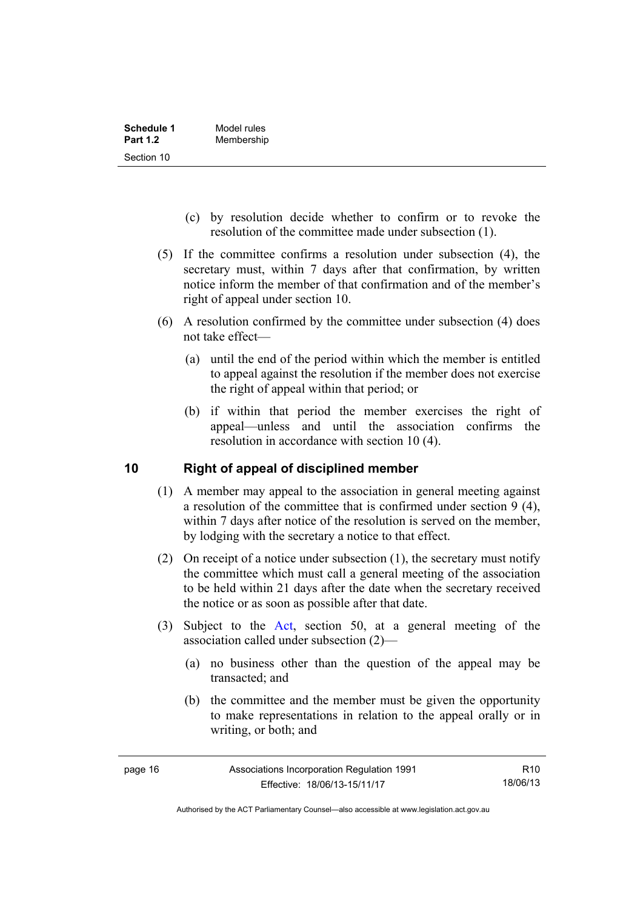| Schedule 1      | Model rules |
|-----------------|-------------|
| <b>Part 1.2</b> | Membership  |
| Section 10      |             |

- (c) by resolution decide whether to confirm or to revoke the resolution of the committee made under subsection (1).
- (5) If the committee confirms a resolution under subsection (4), the secretary must, within 7 days after that confirmation, by written notice inform the member of that confirmation and of the member's right of appeal under section 10.
- (6) A resolution confirmed by the committee under subsection (4) does not take effect—
	- (a) until the end of the period within which the member is entitled to appeal against the resolution if the member does not exercise the right of appeal within that period; or
	- (b) if within that period the member exercises the right of appeal—unless and until the association confirms the resolution in accordance with section 10 (4).

### <span id="page-21-0"></span>**10 Right of appeal of disciplined member**

- (1) A member may appeal to the association in general meeting against a resolution of the committee that is confirmed under section 9 (4), within 7 days after notice of the resolution is served on the member, by lodging with the secretary a notice to that effect.
- (2) On receipt of a notice under subsection (1), the secretary must notify the committee which must call a general meeting of the association to be held within 21 days after the date when the secretary received the notice or as soon as possible after that date.
- (3) Subject to the [Act](http://www.legislation.act.gov.au/a/1991-46/default.asp), section 50, at a general meeting of the association called under subsection (2)—
	- (a) no business other than the question of the appeal may be transacted; and
	- (b) the committee and the member must be given the opportunity to make representations in relation to the appeal orally or in writing, or both; and

Authorised by the ACT Parliamentary Counsel—also accessible at www.legislation.act.gov.au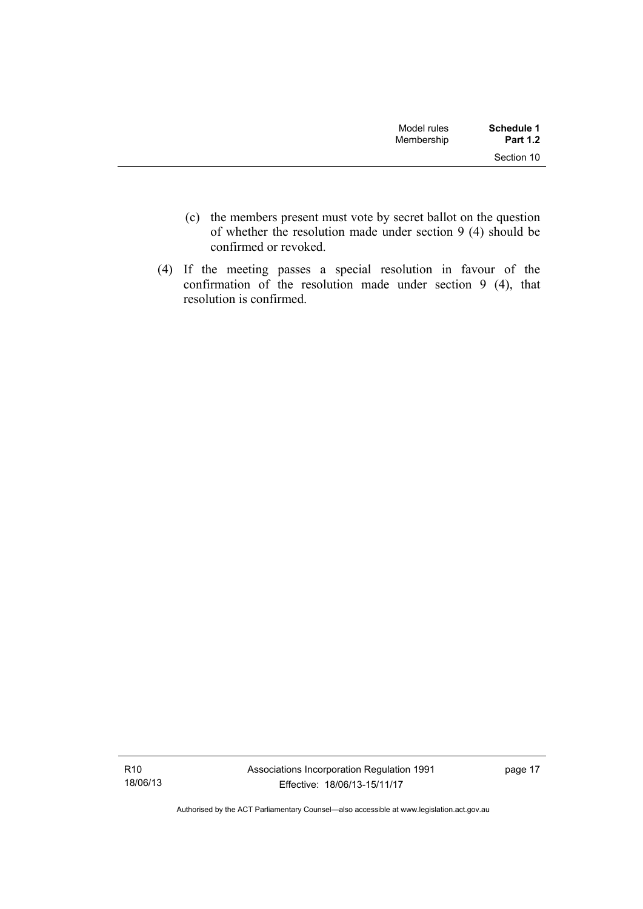| Model rules<br>Membership | Schedule 1<br><b>Part 1.2</b> |
|---------------------------|-------------------------------|
|                           | Section 10                    |

- (c) the members present must vote by secret ballot on the question of whether the resolution made under section 9 (4) should be confirmed or revoked.
- (4) If the meeting passes a special resolution in favour of the confirmation of the resolution made under section 9 (4), that resolution is confirmed.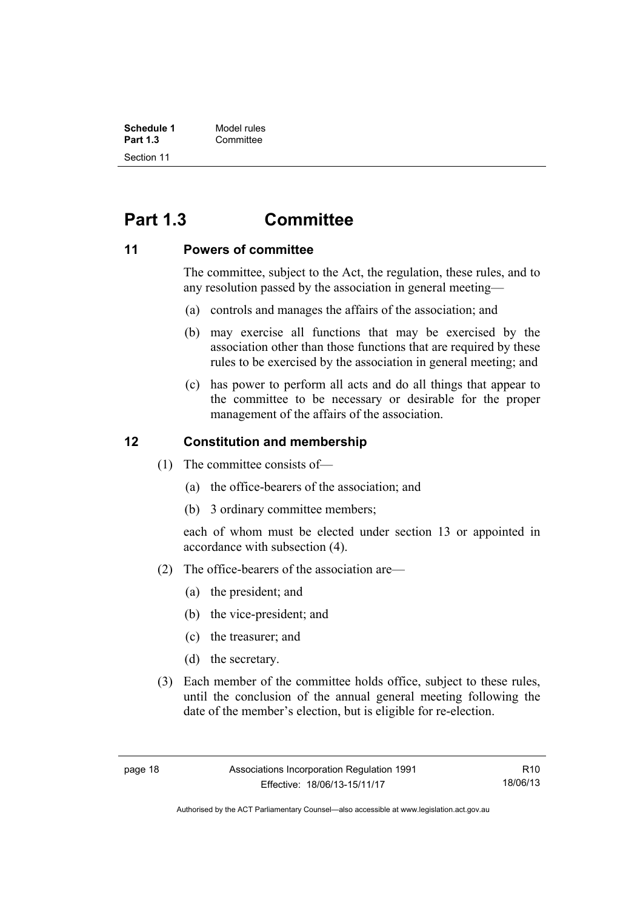| Schedule 1      | Model rules |
|-----------------|-------------|
| <b>Part 1.3</b> | Committee   |
| Section 11      |             |

# <span id="page-23-0"></span>**Part 1.3 Committee**

#### <span id="page-23-1"></span>**11 Powers of committee**

The committee, subject to the Act, the regulation, these rules, and to any resolution passed by the association in general meeting—

- (a) controls and manages the affairs of the association; and
- (b) may exercise all functions that may be exercised by the association other than those functions that are required by these rules to be exercised by the association in general meeting; and
- (c) has power to perform all acts and do all things that appear to the committee to be necessary or desirable for the proper management of the affairs of the association.

#### <span id="page-23-2"></span>**12 Constitution and membership**

- (1) The committee consists of—
	- (a) the office-bearers of the association; and
	- (b) 3 ordinary committee members;

each of whom must be elected under section 13 or appointed in accordance with subsection (4).

- (2) The office-bearers of the association are—
	- (a) the president; and
	- (b) the vice-president; and
	- (c) the treasurer; and
	- (d) the secretary.
- (3) Each member of the committee holds office, subject to these rules, until the conclusion of the annual general meeting following the date of the member's election, but is eligible for re-election.

R10 18/06/13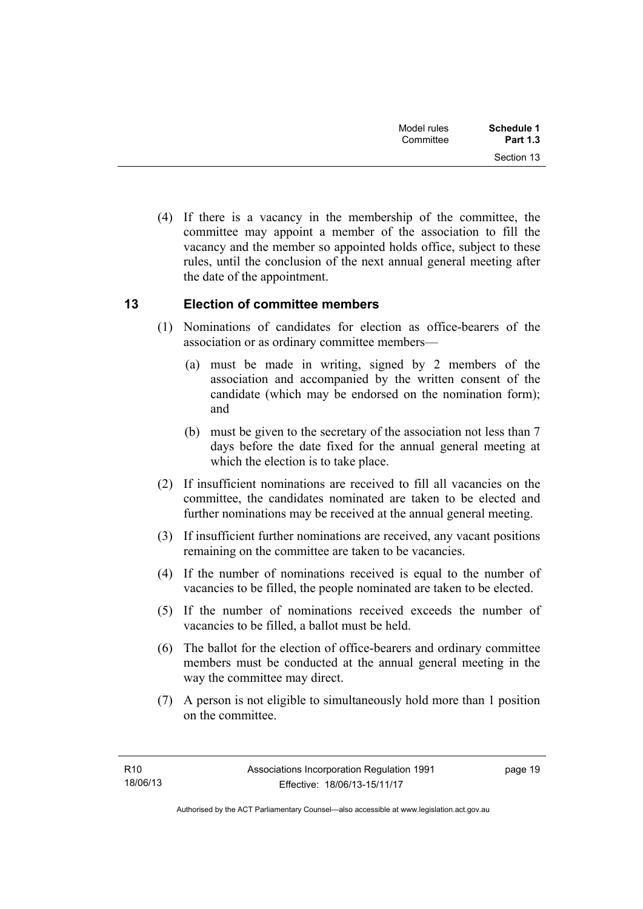| <b>Schedule 1</b><br><b>Part 1.3</b> | Model rules<br>Committee |  |
|--------------------------------------|--------------------------|--|
| Section 13                           |                          |  |

 (4) If there is a vacancy in the membership of the committee, the committee may appoint a member of the association to fill the vacancy and the member so appointed holds office, subject to these rules, until the conclusion of the next annual general meeting after the date of the appointment.

### <span id="page-24-0"></span>**13 Election of committee members**

- (1) Nominations of candidates for election as office-bearers of the association or as ordinary committee members—
	- (a) must be made in writing, signed by 2 members of the association and accompanied by the written consent of the candidate (which may be endorsed on the nomination form); and
	- (b) must be given to the secretary of the association not less than 7 days before the date fixed for the annual general meeting at which the election is to take place.
- (2) If insufficient nominations are received to fill all vacancies on the committee, the candidates nominated are taken to be elected and further nominations may be received at the annual general meeting.
- (3) If insufficient further nominations are received, any vacant positions remaining on the committee are taken to be vacancies.
- (4) If the number of nominations received is equal to the number of vacancies to be filled, the people nominated are taken to be elected.
- (5) If the number of nominations received exceeds the number of vacancies to be filled, a ballot must be held.
- (6) The ballot for the election of office-bearers and ordinary committee members must be conducted at the annual general meeting in the way the committee may direct.
- (7) A person is not eligible to simultaneously hold more than 1 position on the committee.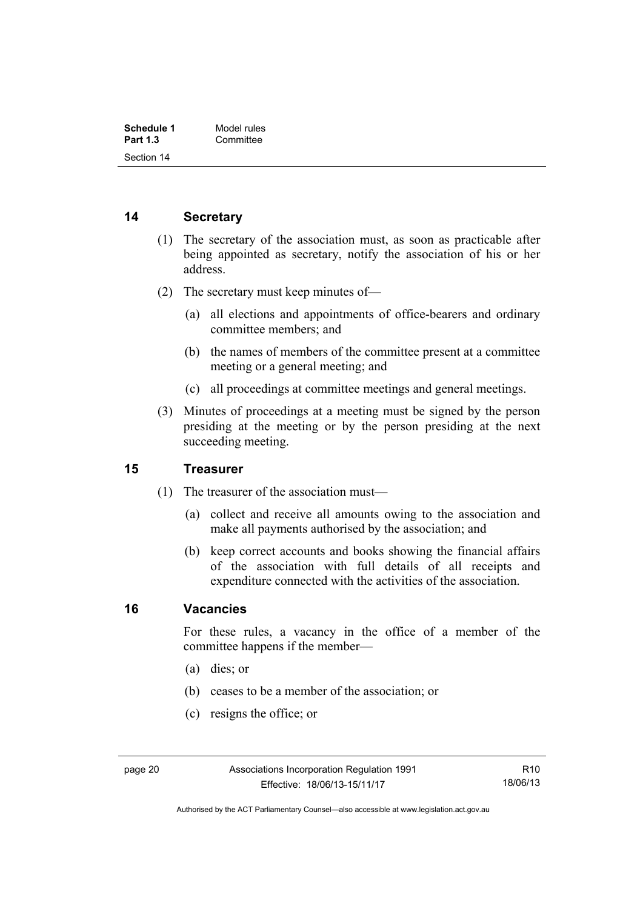| Schedule 1      | Model rules |
|-----------------|-------------|
| <b>Part 1.3</b> | Committee   |
| Section 14      |             |

#### <span id="page-25-0"></span>**14 Secretary**

- (1) The secretary of the association must, as soon as practicable after being appointed as secretary, notify the association of his or her address.
- (2) The secretary must keep minutes of—
	- (a) all elections and appointments of office-bearers and ordinary committee members; and
	- (b) the names of members of the committee present at a committee meeting or a general meeting; and
	- (c) all proceedings at committee meetings and general meetings.
- (3) Minutes of proceedings at a meeting must be signed by the person presiding at the meeting or by the person presiding at the next succeeding meeting.

#### <span id="page-25-1"></span>**15 Treasurer**

- (1) The treasurer of the association must—
	- (a) collect and receive all amounts owing to the association and make all payments authorised by the association; and
	- (b) keep correct accounts and books showing the financial affairs of the association with full details of all receipts and expenditure connected with the activities of the association.

#### <span id="page-25-2"></span>**16 Vacancies**

For these rules, a vacancy in the office of a member of the committee happens if the member—

- (a) dies; or
- (b) ceases to be a member of the association; or
- (c) resigns the office; or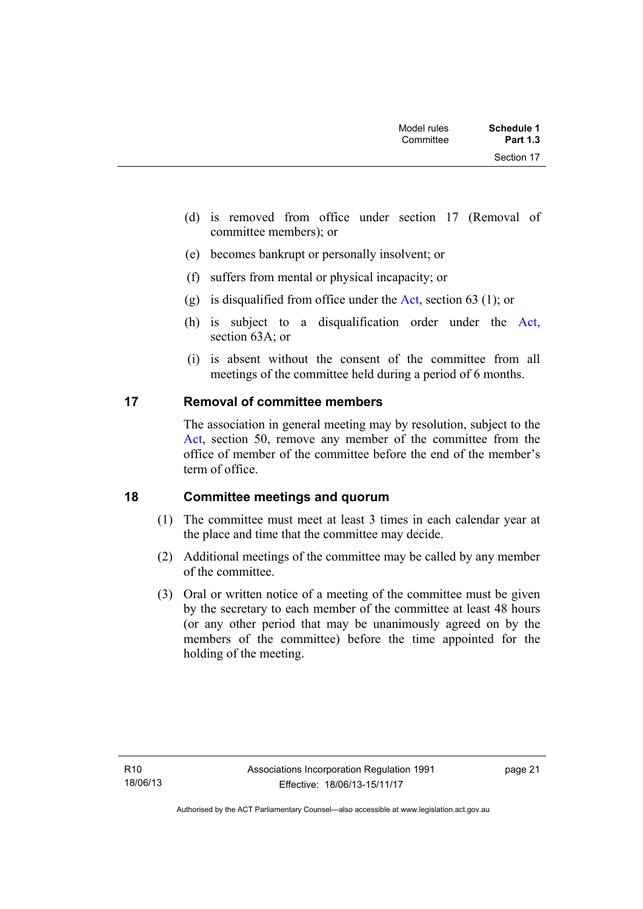| Schedule 1<br><b>Part 1.3</b> | Model rules<br>Committee |  |
|-------------------------------|--------------------------|--|
| Section 17                    |                          |  |

- (d) is removed from office under section 17 (Removal of committee members); or
- (e) becomes bankrupt or personally insolvent; or
- (f) suffers from mental or physical incapacity; or
- (g) is disqualified from office under the [Act](http://www.legislation.act.gov.au/a/1991-46/default.asp), section 63 (1); or
- (h) is subject to a disqualification order under the [Act](http://www.legislation.act.gov.au/a/1991-46/default.asp), section 63A; or
- (i) is absent without the consent of the committee from all meetings of the committee held during a period of 6 months.

### <span id="page-26-0"></span>**17 Removal of committee members**

The association in general meeting may by resolution, subject to the [Act](http://www.legislation.act.gov.au/a/1991-46/default.asp), section 50, remove any member of the committee from the office of member of the committee before the end of the member's term of office.

### <span id="page-26-1"></span>**18 Committee meetings and quorum**

- (1) The committee must meet at least 3 times in each calendar year at the place and time that the committee may decide.
- (2) Additional meetings of the committee may be called by any member of the committee.
- (3) Oral or written notice of a meeting of the committee must be given by the secretary to each member of the committee at least 48 hours (or any other period that may be unanimously agreed on by the members of the committee) before the time appointed for the holding of the meeting.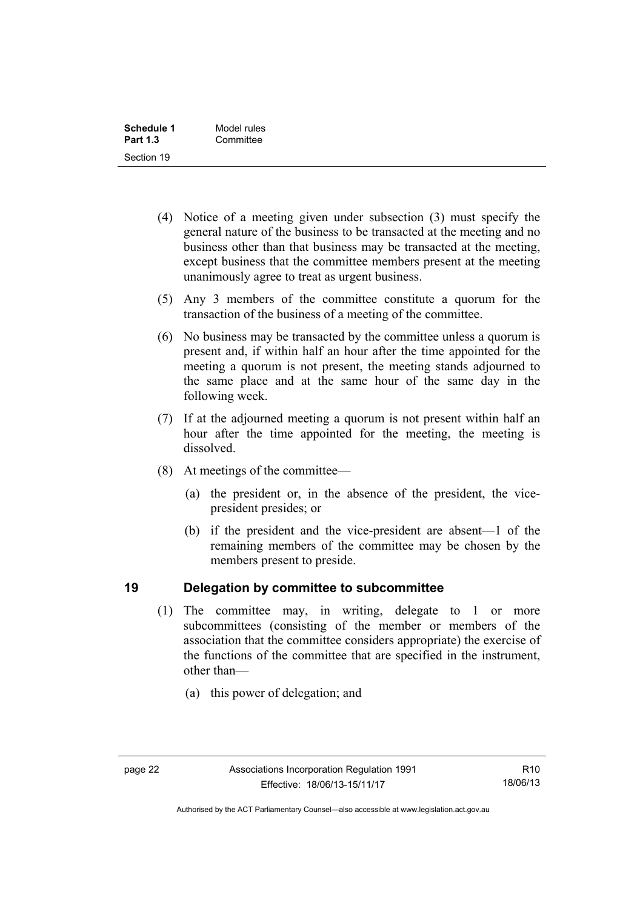| Schedule 1      | Model rules |
|-----------------|-------------|
| <b>Part 1.3</b> | Committee   |
| Section 19      |             |

- (4) Notice of a meeting given under subsection (3) must specify the general nature of the business to be transacted at the meeting and no business other than that business may be transacted at the meeting, except business that the committee members present at the meeting unanimously agree to treat as urgent business.
- (5) Any 3 members of the committee constitute a quorum for the transaction of the business of a meeting of the committee.
- (6) No business may be transacted by the committee unless a quorum is present and, if within half an hour after the time appointed for the meeting a quorum is not present, the meeting stands adjourned to the same place and at the same hour of the same day in the following week.
- (7) If at the adjourned meeting a quorum is not present within half an hour after the time appointed for the meeting, the meeting is dissolved.
- (8) At meetings of the committee—
	- (a) the president or, in the absence of the president, the vicepresident presides; or
	- (b) if the president and the vice-president are absent—1 of the remaining members of the committee may be chosen by the members present to preside.

### <span id="page-27-0"></span>**19 Delegation by committee to subcommittee**

- (1) The committee may, in writing, delegate to 1 or more subcommittees (consisting of the member or members of the association that the committee considers appropriate) the exercise of the functions of the committee that are specified in the instrument, other than—
	- (a) this power of delegation; and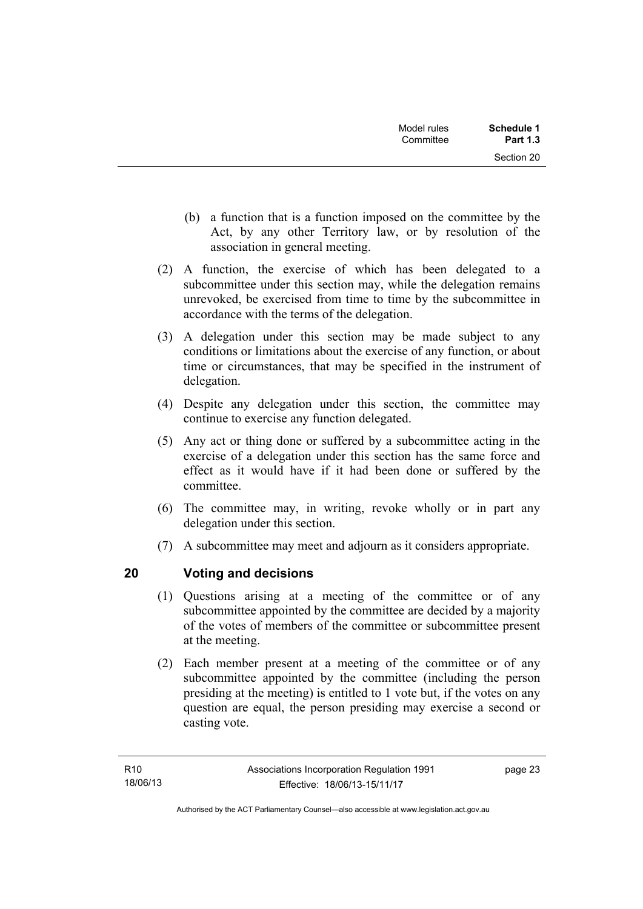| Model rules<br>Committee | Schedule 1<br><b>Part 1.3</b> |
|--------------------------|-------------------------------|
|                          | Section 20                    |

- (b) a function that is a function imposed on the committee by the Act, by any other Territory law, or by resolution of the association in general meeting.
- (2) A function, the exercise of which has been delegated to a subcommittee under this section may, while the delegation remains unrevoked, be exercised from time to time by the subcommittee in accordance with the terms of the delegation.
- (3) A delegation under this section may be made subject to any conditions or limitations about the exercise of any function, or about time or circumstances, that may be specified in the instrument of delegation.
- (4) Despite any delegation under this section, the committee may continue to exercise any function delegated.
- (5) Any act or thing done or suffered by a subcommittee acting in the exercise of a delegation under this section has the same force and effect as it would have if it had been done or suffered by the committee.
- (6) The committee may, in writing, revoke wholly or in part any delegation under this section.
- (7) A subcommittee may meet and adjourn as it considers appropriate.

# <span id="page-28-0"></span>**20 Voting and decisions**

- (1) Questions arising at a meeting of the committee or of any subcommittee appointed by the committee are decided by a majority of the votes of members of the committee or subcommittee present at the meeting.
- (2) Each member present at a meeting of the committee or of any subcommittee appointed by the committee (including the person presiding at the meeting) is entitled to 1 vote but, if the votes on any question are equal, the person presiding may exercise a second or casting vote.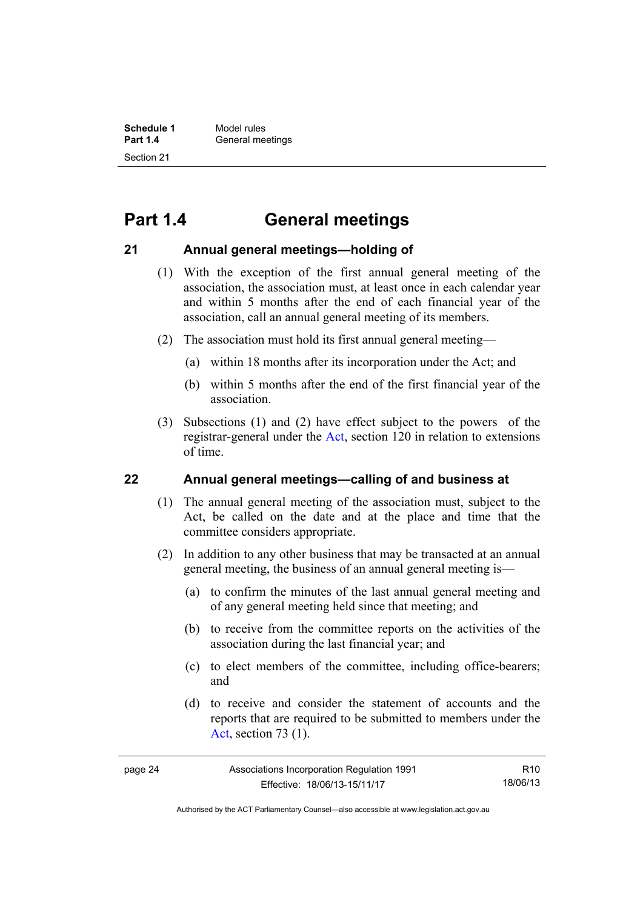# <span id="page-29-0"></span>**Part 1.4 General meetings**

### <span id="page-29-1"></span>**21 Annual general meetings—holding of**

- (1) With the exception of the first annual general meeting of the association, the association must, at least once in each calendar year and within 5 months after the end of each financial year of the association, call an annual general meeting of its members.
- (2) The association must hold its first annual general meeting—
	- (a) within 18 months after its incorporation under the Act; and
	- (b) within 5 months after the end of the first financial year of the association.
- (3) Subsections (1) and (2) have effect subject to the powers of the registrar-general under the [Act,](http://www.legislation.act.gov.au/a/1991-46/default.asp) section 120 in relation to extensions of time.

### <span id="page-29-2"></span>**22 Annual general meetings—calling of and business at**

- (1) The annual general meeting of the association must, subject to the Act, be called on the date and at the place and time that the committee considers appropriate.
- (2) In addition to any other business that may be transacted at an annual general meeting, the business of an annual general meeting is—
	- (a) to confirm the minutes of the last annual general meeting and of any general meeting held since that meeting; and
	- (b) to receive from the committee reports on the activities of the association during the last financial year; and
	- (c) to elect members of the committee, including office-bearers; and
	- (d) to receive and consider the statement of accounts and the reports that are required to be submitted to members under the [Act](http://www.legislation.act.gov.au/a/1991-46/default.asp), section 73 (1).

R10 18/06/13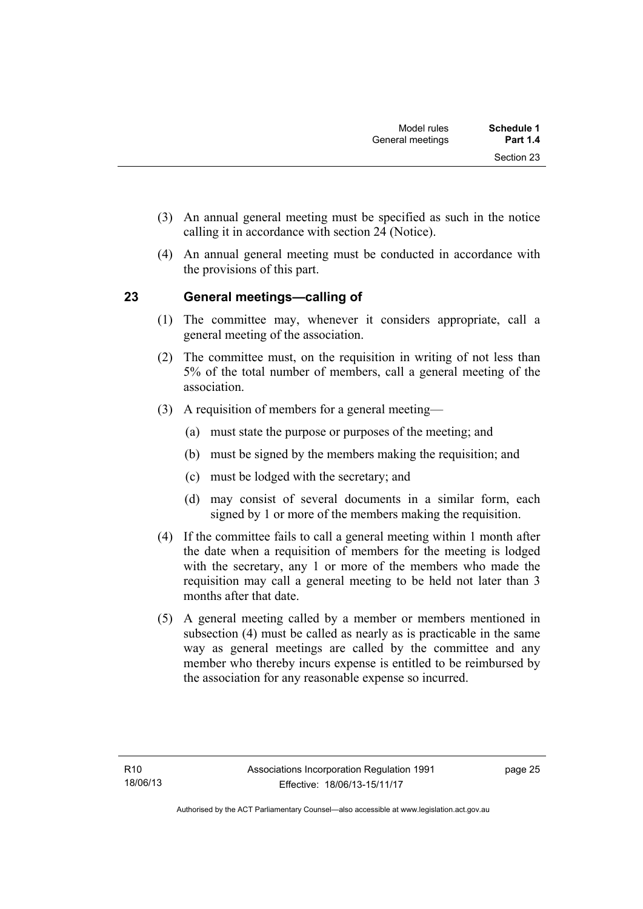- (3) An annual general meeting must be specified as such in the notice calling it in accordance with section 24 (Notice).
- (4) An annual general meeting must be conducted in accordance with the provisions of this part.

# <span id="page-30-0"></span>**23 General meetings—calling of**

- (1) The committee may, whenever it considers appropriate, call a general meeting of the association.
- (2) The committee must, on the requisition in writing of not less than 5% of the total number of members, call a general meeting of the association.
- (3) A requisition of members for a general meeting—
	- (a) must state the purpose or purposes of the meeting; and
	- (b) must be signed by the members making the requisition; and
	- (c) must be lodged with the secretary; and
	- (d) may consist of several documents in a similar form, each signed by 1 or more of the members making the requisition.
- (4) If the committee fails to call a general meeting within 1 month after the date when a requisition of members for the meeting is lodged with the secretary, any 1 or more of the members who made the requisition may call a general meeting to be held not later than 3 months after that date.
- (5) A general meeting called by a member or members mentioned in subsection (4) must be called as nearly as is practicable in the same way as general meetings are called by the committee and any member who thereby incurs expense is entitled to be reimbursed by the association for any reasonable expense so incurred.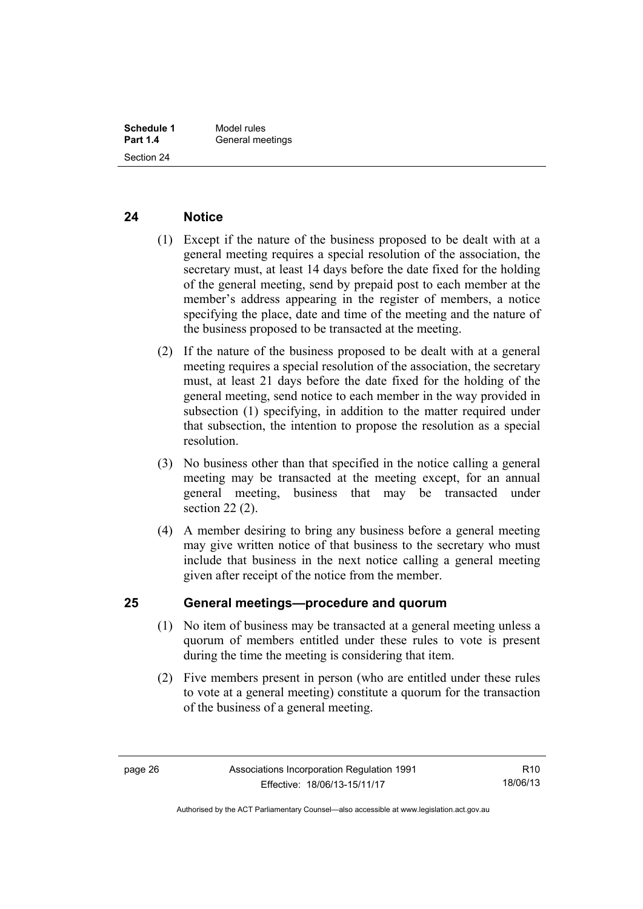#### <span id="page-31-0"></span>**24 Notice**

- (1) Except if the nature of the business proposed to be dealt with at a general meeting requires a special resolution of the association, the secretary must, at least 14 days before the date fixed for the holding of the general meeting, send by prepaid post to each member at the member's address appearing in the register of members, a notice specifying the place, date and time of the meeting and the nature of the business proposed to be transacted at the meeting.
- (2) If the nature of the business proposed to be dealt with at a general meeting requires a special resolution of the association, the secretary must, at least 21 days before the date fixed for the holding of the general meeting, send notice to each member in the way provided in subsection (1) specifying, in addition to the matter required under that subsection, the intention to propose the resolution as a special resolution.
- (3) No business other than that specified in the notice calling a general meeting may be transacted at the meeting except, for an annual general meeting, business that may be transacted under section 22 (2).
- (4) A member desiring to bring any business before a general meeting may give written notice of that business to the secretary who must include that business in the next notice calling a general meeting given after receipt of the notice from the member.

#### <span id="page-31-1"></span>**25 General meetings—procedure and quorum**

- (1) No item of business may be transacted at a general meeting unless a quorum of members entitled under these rules to vote is present during the time the meeting is considering that item.
- (2) Five members present in person (who are entitled under these rules to vote at a general meeting) constitute a quorum for the transaction of the business of a general meeting.

Authorised by the ACT Parliamentary Counsel—also accessible at www.legislation.act.gov.au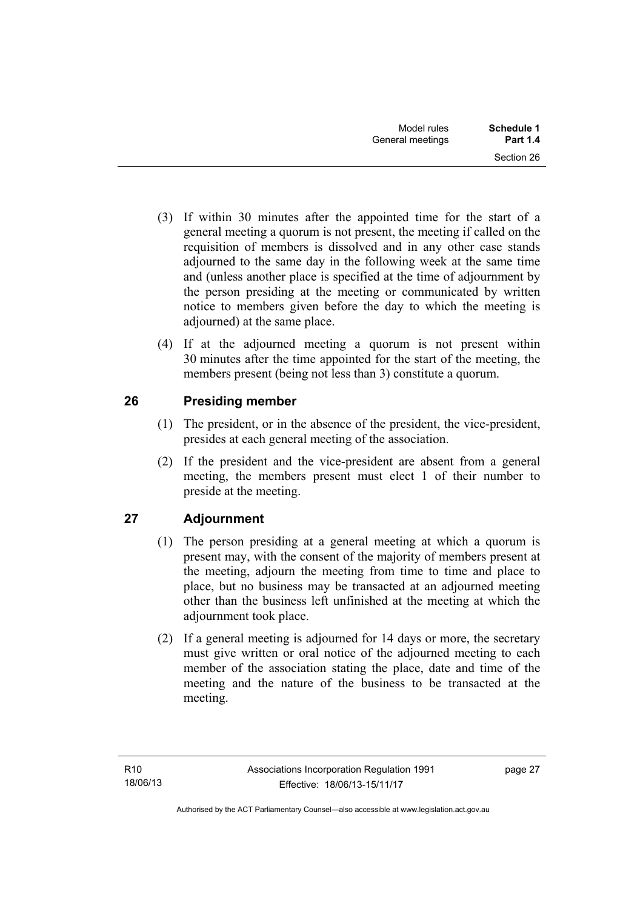- (3) If within 30 minutes after the appointed time for the start of a general meeting a quorum is not present, the meeting if called on the requisition of members is dissolved and in any other case stands adjourned to the same day in the following week at the same time and (unless another place is specified at the time of adjournment by the person presiding at the meeting or communicated by written notice to members given before the day to which the meeting is adjourned) at the same place.
- (4) If at the adjourned meeting a quorum is not present within 30 minutes after the time appointed for the start of the meeting, the members present (being not less than 3) constitute a quorum.

# <span id="page-32-0"></span>**26 Presiding member**

- (1) The president, or in the absence of the president, the vice-president, presides at each general meeting of the association.
- (2) If the president and the vice-president are absent from a general meeting, the members present must elect 1 of their number to preside at the meeting.

# <span id="page-32-1"></span>**27 Adjournment**

- (1) The person presiding at a general meeting at which a quorum is present may, with the consent of the majority of members present at the meeting, adjourn the meeting from time to time and place to place, but no business may be transacted at an adjourned meeting other than the business left unfinished at the meeting at which the adjournment took place.
- (2) If a general meeting is adjourned for 14 days or more, the secretary must give written or oral notice of the adjourned meeting to each member of the association stating the place, date and time of the meeting and the nature of the business to be transacted at the meeting.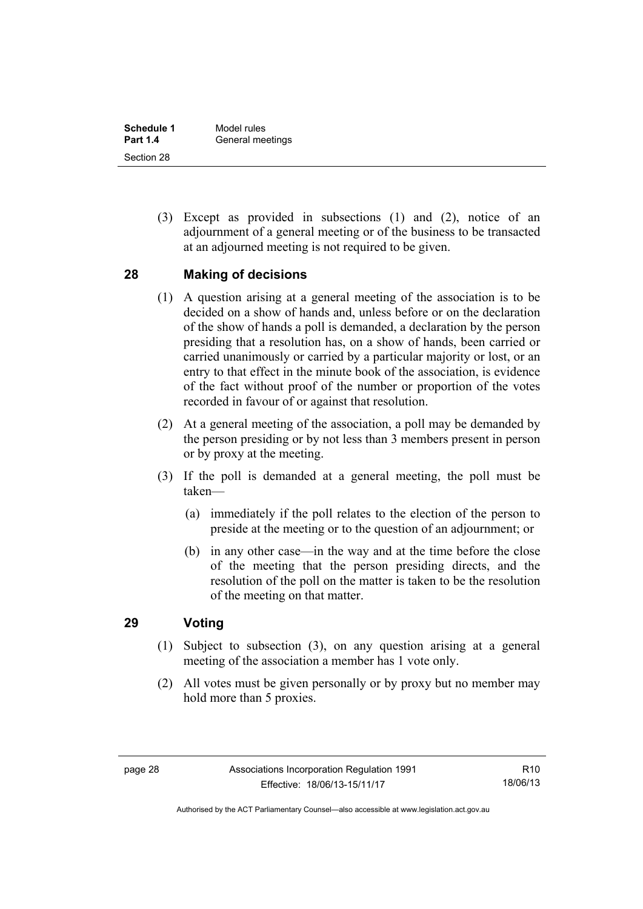| Schedule 1      | Model rules      |
|-----------------|------------------|
| <b>Part 1.4</b> | General meetings |
| Section 28      |                  |

 (3) Except as provided in subsections (1) and (2), notice of an adjournment of a general meeting or of the business to be transacted at an adjourned meeting is not required to be given.

#### <span id="page-33-0"></span>**28 Making of decisions**

- (1) A question arising at a general meeting of the association is to be decided on a show of hands and, unless before or on the declaration of the show of hands a poll is demanded, a declaration by the person presiding that a resolution has, on a show of hands, been carried or carried unanimously or carried by a particular majority or lost, or an entry to that effect in the minute book of the association, is evidence of the fact without proof of the number or proportion of the votes recorded in favour of or against that resolution.
- (2) At a general meeting of the association, a poll may be demanded by the person presiding or by not less than 3 members present in person or by proxy at the meeting.
- (3) If the poll is demanded at a general meeting, the poll must be taken—
	- (a) immediately if the poll relates to the election of the person to preside at the meeting or to the question of an adjournment; or
	- (b) in any other case—in the way and at the time before the close of the meeting that the person presiding directs, and the resolution of the poll on the matter is taken to be the resolution of the meeting on that matter.

# <span id="page-33-1"></span>**29 Voting**

- (1) Subject to subsection (3), on any question arising at a general meeting of the association a member has 1 vote only.
- (2) All votes must be given personally or by proxy but no member may hold more than 5 proxies.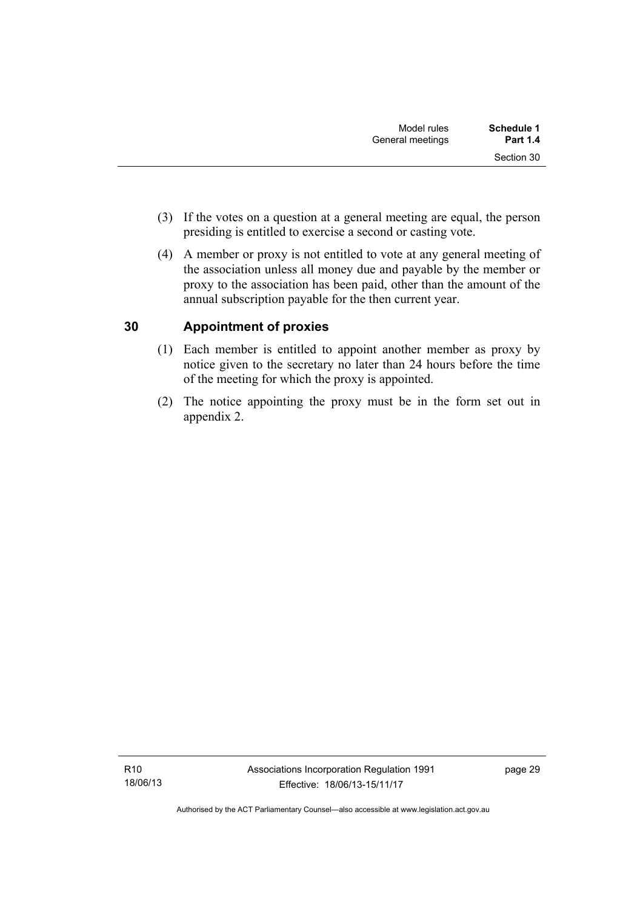- (3) If the votes on a question at a general meeting are equal, the person presiding is entitled to exercise a second or casting vote.
- (4) A member or proxy is not entitled to vote at any general meeting of the association unless all money due and payable by the member or proxy to the association has been paid, other than the amount of the annual subscription payable for the then current year.

# <span id="page-34-0"></span>**30 Appointment of proxies**

- (1) Each member is entitled to appoint another member as proxy by notice given to the secretary no later than 24 hours before the time of the meeting for which the proxy is appointed.
- (2) The notice appointing the proxy must be in the form set out in appendix 2.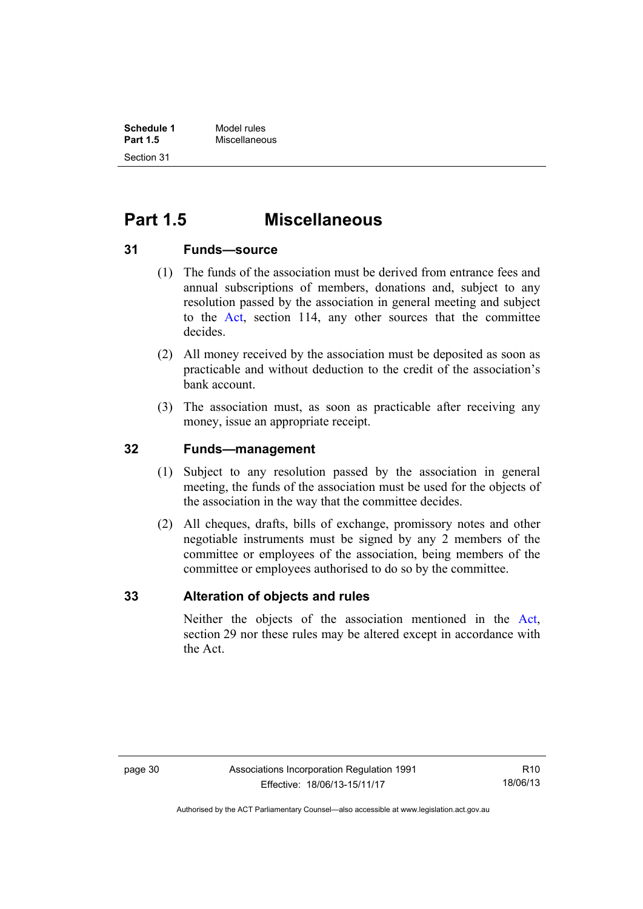# <span id="page-35-0"></span>**Part 1.5 Miscellaneous**

#### <span id="page-35-1"></span>**31 Funds—source**

- (1) The funds of the association must be derived from entrance fees and annual subscriptions of members, donations and, subject to any resolution passed by the association in general meeting and subject to the [Act](http://www.legislation.act.gov.au/a/1991-46/default.asp), section 114, any other sources that the committee decides.
- (2) All money received by the association must be deposited as soon as practicable and without deduction to the credit of the association's bank account.
- (3) The association must, as soon as practicable after receiving any money, issue an appropriate receipt.

### <span id="page-35-2"></span>**32 Funds—management**

- (1) Subject to any resolution passed by the association in general meeting, the funds of the association must be used for the objects of the association in the way that the committee decides.
- (2) All cheques, drafts, bills of exchange, promissory notes and other negotiable instruments must be signed by any 2 members of the committee or employees of the association, being members of the committee or employees authorised to do so by the committee.

### <span id="page-35-3"></span>**33 Alteration of objects and rules**

Neither the objects of the association mentioned in the [Act](http://www.legislation.act.gov.au/a/1991-46/default.asp), section 29 nor these rules may be altered except in accordance with the Act.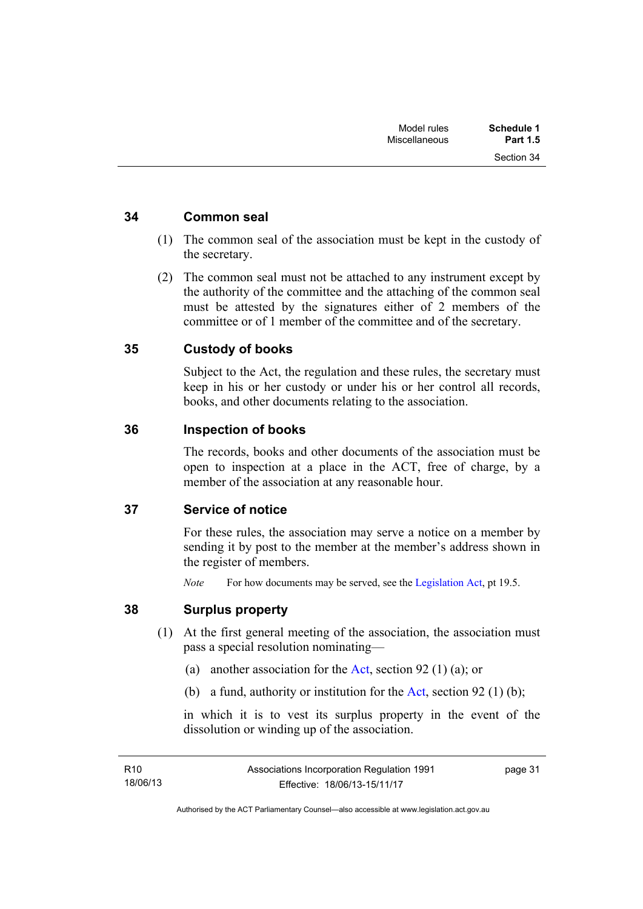Section 34

#### <span id="page-36-0"></span>**34 Common seal**

- (1) The common seal of the association must be kept in the custody of the secretary.
- (2) The common seal must not be attached to any instrument except by the authority of the committee and the attaching of the common seal must be attested by the signatures either of 2 members of the committee or of 1 member of the committee and of the secretary.

### <span id="page-36-1"></span>**35 Custody of books**

Subject to the Act, the regulation and these rules, the secretary must keep in his or her custody or under his or her control all records, books, and other documents relating to the association.

#### <span id="page-36-2"></span>**36 Inspection of books**

The records, books and other documents of the association must be open to inspection at a place in the ACT, free of charge, by a member of the association at any reasonable hour.

#### <span id="page-36-3"></span>**37 Service of notice**

For these rules, the association may serve a notice on a member by sending it by post to the member at the member's address shown in the register of members.

*Note* For how documents may be served, see the [Legislation Act,](http://www.legislation.act.gov.au/a/2001-14) pt 19.5.

#### <span id="page-36-4"></span>**38 Surplus property**

- (1) At the first general meeting of the association, the association must pass a special resolution nominating—
	- (a) another association for the [Act](http://www.legislation.act.gov.au/a/1991-46/default.asp), section 92 (1) (a); or
	- (b) a fund, authority or institution for the [Act](http://www.legislation.act.gov.au/a/1991-46/default.asp), section 92 (1) (b);

in which it is to vest its surplus property in the event of the dissolution or winding up of the association.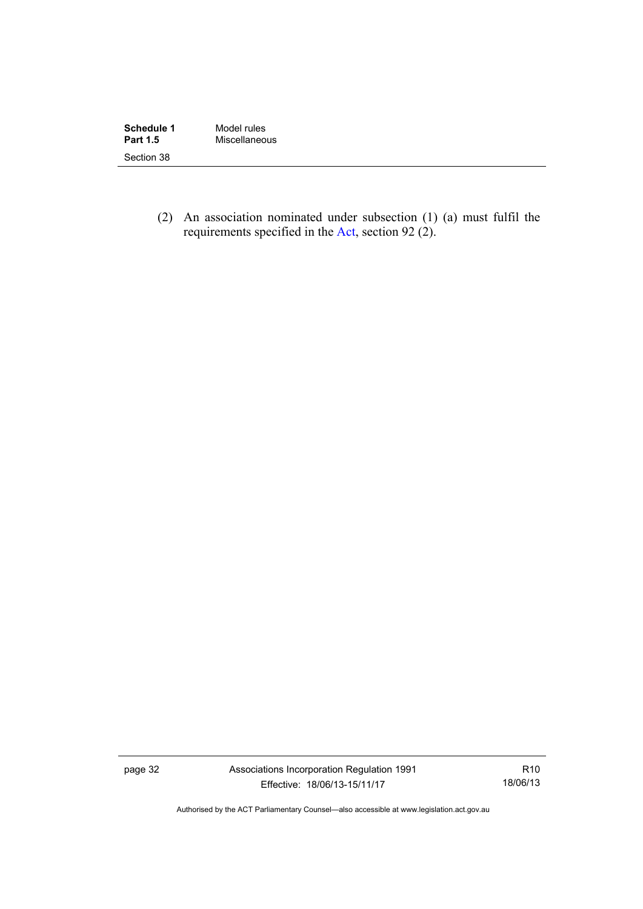| Schedule 1      | Model rules   |
|-----------------|---------------|
| <b>Part 1.5</b> | Miscellaneous |
| Section 38      |               |

 (2) An association nominated under subsection (1) (a) must fulfil the requirements specified in the [Act](http://www.legislation.act.gov.au/a/1991-46/default.asp), section 92 (2).

page 32 Associations Incorporation Regulation 1991 Effective: 18/06/13-15/11/17

R10 18/06/13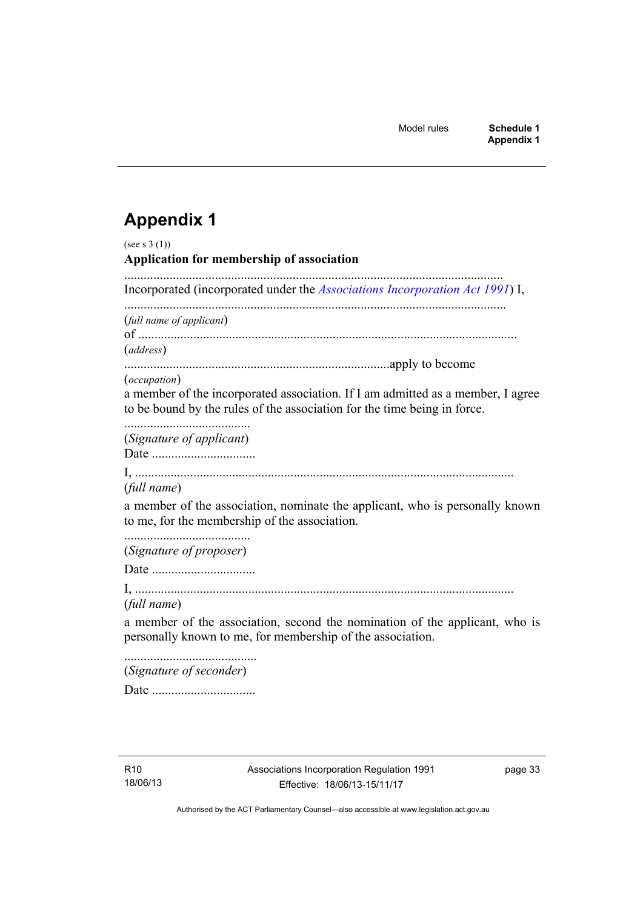# <span id="page-38-0"></span>**Appendix 1**

| (see s $3(1)$ )<br>Application for membership of association                                                                                                                       |
|------------------------------------------------------------------------------------------------------------------------------------------------------------------------------------|
| Incorporated (incorporated under the Associations Incorporation Act 1991) I,                                                                                                       |
| (full name of applicant)<br>(address)                                                                                                                                              |
|                                                                                                                                                                                    |
| <i>(occupation)</i><br>a member of the incorporated association. If I am admitted as a member, I agree<br>to be bound by the rules of the association for the time being in force. |
| (Signature of applicant)                                                                                                                                                           |
|                                                                                                                                                                                    |
| (full name)                                                                                                                                                                        |
| a member of the association, nominate the applicant, who is personally known<br>to me, for the membership of the association.                                                      |
| (Signature of proposer)                                                                                                                                                            |
|                                                                                                                                                                                    |
| (full name)<br>a member of the association, second the nomination of the applicant, who is<br>personally known to me, for membership of the association.                           |
| (Signature of seconder)                                                                                                                                                            |
|                                                                                                                                                                                    |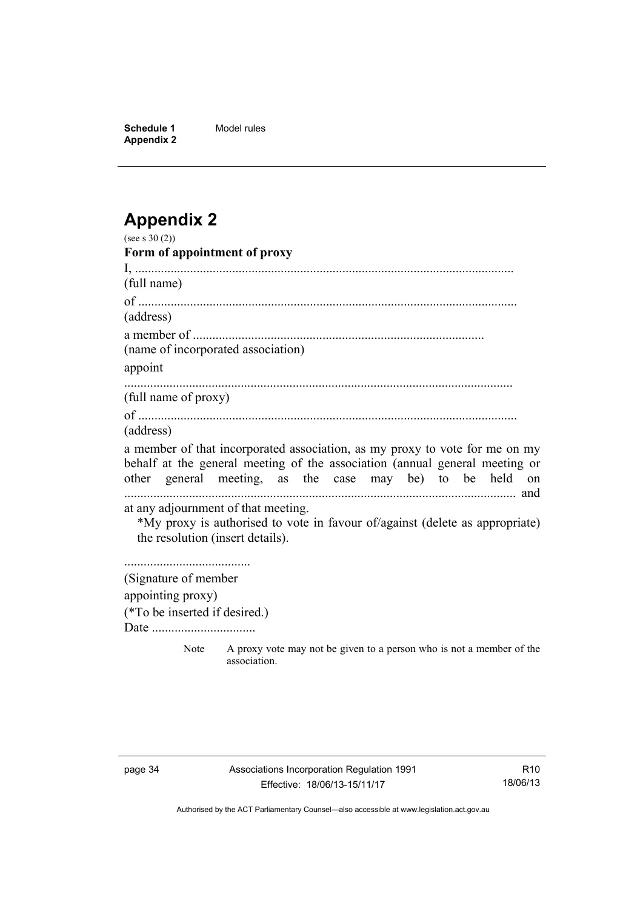**Schedule 1** Model rules **Appendix 2** 

# <span id="page-39-0"></span>**Appendix 2**

| (see s 30 (2))                      |                                                                                      |
|-------------------------------------|--------------------------------------------------------------------------------------|
| Form of appointment of proxy        |                                                                                      |
|                                     |                                                                                      |
| (full name)                         |                                                                                      |
|                                     |                                                                                      |
| (address)                           |                                                                                      |
|                                     |                                                                                      |
| (name of incorporated association)  |                                                                                      |
| appoint                             |                                                                                      |
| (full name of proxy)                |                                                                                      |
|                                     |                                                                                      |
| (address)                           |                                                                                      |
|                                     | a member of that incorporated association, as my proxy to vote for me on my          |
|                                     | behalf at the general meeting of the association (annual general meeting or          |
|                                     | other general meeting, as the case may be) to be held on                             |
|                                     |                                                                                      |
| at any adjournment of that meeting. |                                                                                      |
| the resolution (insert details).    | *My proxy is authorised to vote in favour of/against (delete as appropriate)         |
|                                     |                                                                                      |
|                                     |                                                                                      |
| (Signature of member                |                                                                                      |
| appointing proxy)                   |                                                                                      |
| (*To be inserted if desired.)       |                                                                                      |
|                                     |                                                                                      |
| Note                                | A proxy vote may not be given to a person who is not a member of the<br>association. |

R10 18/06/13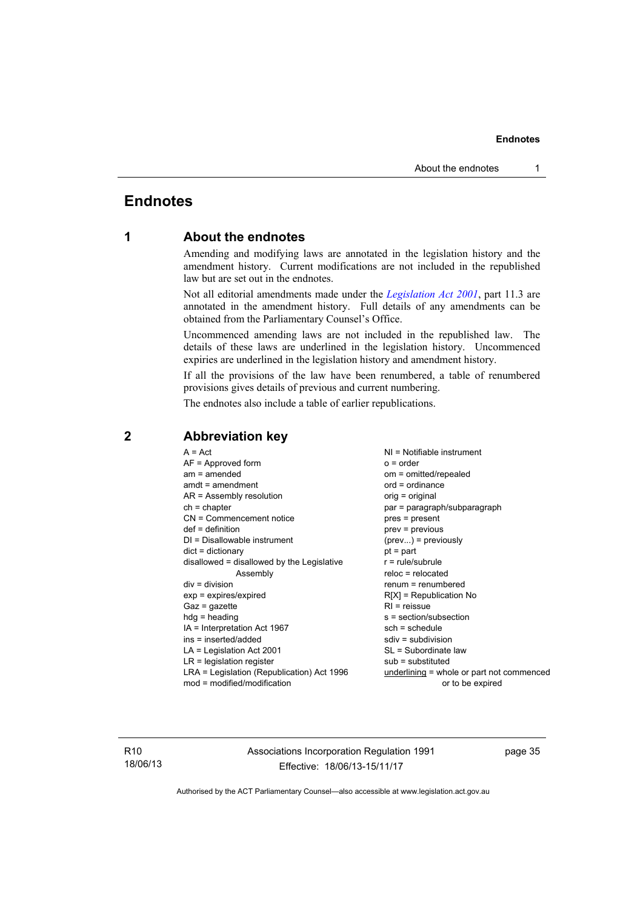# <span id="page-40-0"></span>**Endnotes**

#### **1 About the endnotes**

Amending and modifying laws are annotated in the legislation history and the amendment history. Current modifications are not included in the republished law but are set out in the endnotes.

Not all editorial amendments made under the *[Legislation Act 2001](http://www.legislation.act.gov.au/a/2001-14)*, part 11.3 are annotated in the amendment history. Full details of any amendments can be obtained from the Parliamentary Counsel's Office.

Uncommenced amending laws are not included in the republished law. The details of these laws are underlined in the legislation history. Uncommenced expiries are underlined in the legislation history and amendment history.

If all the provisions of the law have been renumbered, a table of renumbered provisions gives details of previous and current numbering.

The endnotes also include a table of earlier republications.

| $A = Act$<br>$AF =$ Approved form<br>$am = amended$<br>$amdt = amendment$<br>$AR = Assembly resolution$<br>$ch = chapter$<br>CN = Commencement notice<br>$def = definition$<br>DI = Disallowable instrument<br>$dict = dictionary$<br>disallowed = disallowed by the Legislative<br>Assembly<br>$div = division$<br>$exp = expires/expired$<br>$Gaz = gazette$<br>$h dq =$ heading<br>IA = Interpretation Act 1967<br>ins = inserted/added<br>$LA =$ Legislation Act 2001<br>$LR =$ legislation register<br>LRA = Legislation (Republication) Act 1996 | $NI = Notifiable$ instrument<br>$o = order$<br>om = omitted/repealed<br>$ord = ordinance$<br>orig = original<br>par = paragraph/subparagraph<br>pres = present<br>$prev = previous$<br>$(\text{prev}) = \text{previously}$<br>$pt = part$<br>$r = rule/subrule$<br>$reloc = relocated$<br>$renum = renumbered$<br>$R[X]$ = Republication No<br>$RI = reissue$<br>s = section/subsection<br>$sch = schedule$<br>$sdiv = subdivision$<br>SL = Subordinate law<br>$sub =$ substituted |
|--------------------------------------------------------------------------------------------------------------------------------------------------------------------------------------------------------------------------------------------------------------------------------------------------------------------------------------------------------------------------------------------------------------------------------------------------------------------------------------------------------------------------------------------------------|------------------------------------------------------------------------------------------------------------------------------------------------------------------------------------------------------------------------------------------------------------------------------------------------------------------------------------------------------------------------------------------------------------------------------------------------------------------------------------|
|                                                                                                                                                                                                                                                                                                                                                                                                                                                                                                                                                        |                                                                                                                                                                                                                                                                                                                                                                                                                                                                                    |
| $mod = modified/modification$                                                                                                                                                                                                                                                                                                                                                                                                                                                                                                                          | underlining = whole or part not commenced<br>or to be expired                                                                                                                                                                                                                                                                                                                                                                                                                      |
|                                                                                                                                                                                                                                                                                                                                                                                                                                                                                                                                                        |                                                                                                                                                                                                                                                                                                                                                                                                                                                                                    |

#### <span id="page-40-2"></span>**2 Abbreviation key**

R10 18/06/13 Associations Incorporation Regulation 1991 Effective: 18/06/13-15/11/17

page 35

<span id="page-40-1"></span>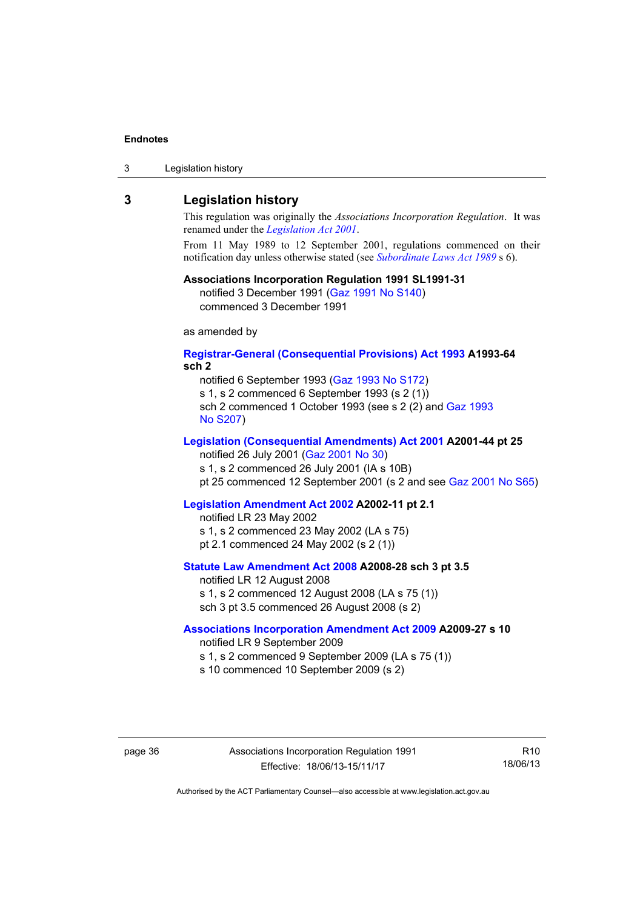| 3 | Legislation history |  |
|---|---------------------|--|
|---|---------------------|--|

#### <span id="page-41-0"></span>**3 Legislation history**

This regulation was originally the *Associations Incorporation Regulation*. It was renamed under the *[Legislation Act 2001](http://www.legislation.act.gov.au/a/2001-14)*.

From 11 May 1989 to 12 September 2001, regulations commenced on their notification day unless otherwise stated (see *[Subordinate Laws Act 1989](http://www.legislation.act.gov.au/a/alt_a1989-24co)* s 6).

#### **Associations Incorporation Regulation 1991 SL1991-31**

notified 3 December 1991 ([Gaz 1991 No S140\)](http://www.legislation.act.gov.au/gaz/1991-S140/default.asp) commenced 3 December 1991

as amended by

#### **[Registrar-General \(Consequential Provisions\) Act 1993](http://www.legislation.act.gov.au/a/1993-64) A1993-64 sch 2**

notified 6 September 1993 [\(Gaz 1993 No S172\)](http://www.legislation.act.gov.au/gaz/1993-S172/default.asp) s 1, s 2 commenced 6 September 1993 (s 2 (1))

sch 2 commenced 1 October 1993 (see s 2 (2) and [Gaz 1993](http://www.legislation.act.gov.au/gaz/1993-S207/default.asp)  [No S207\)](http://www.legislation.act.gov.au/gaz/1993-S207/default.asp)

#### **[Legislation \(Consequential Amendments\) Act 2001](http://www.legislation.act.gov.au/a/2001-44) A2001-44 pt 25**

notified 26 July 2001 ([Gaz 2001 No 30\)](http://www.legislation.act.gov.au/gaz/2001-30/default.asp)

s 1, s 2 commenced 26 July 2001 (IA s 10B)

pt 25 commenced 12 September 2001 (s 2 and see [Gaz 2001 No S65](http://www.legislation.act.gov.au/gaz/2001-S65/default.asp))

#### **[Legislation Amendment Act 2002](http://www.legislation.act.gov.au/a/2002-11) A2002-11 pt 2.1**

notified LR 23 May 2002 s 1, s 2 commenced 23 May 2002 (LA s 75) pt 2.1 commenced 24 May 2002 (s 2 (1))

#### **[Statute Law Amendment Act 2008](http://www.legislation.act.gov.au/a/2008-28) A2008-28 sch 3 pt 3.5**  notified LR 12 August 2008

s 1, s 2 commenced 12 August 2008 (LA s 75 (1)) sch 3 pt 3.5 commenced 26 August 2008 (s 2)

#### **[Associations Incorporation Amendment Act 2009](http://www.legislation.act.gov.au/a/2009-27) A2009-27 s 10**

notified LR 9 September 2009

- s 1, s 2 commenced 9 September 2009 (LA s 75 (1))
- s 10 commenced 10 September 2009 (s 2)

page 36 Associations Incorporation Regulation 1991 Effective: 18/06/13-15/11/17

R10 18/06/13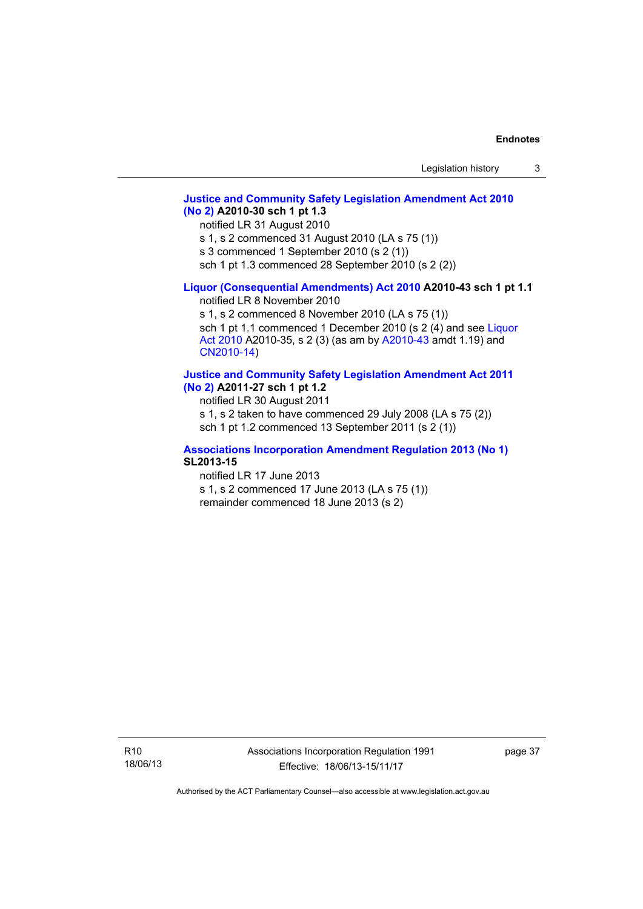#### **[Justice and Community Safety Legislation Amendment Act 2010](http://www.legislation.act.gov.au/a/2010-30)  [\(No 2\)](http://www.legislation.act.gov.au/a/2010-30) A2010-30 sch 1 pt 1.3**

notified LR 31 August 2010

s 1, s 2 commenced 31 August 2010 (LA s 75 (1))

s 3 commenced 1 September 2010 (s 2 (1))

sch 1 pt 1.3 commenced 28 September 2010 (s 2 (2))

#### **[Liquor \(Consequential Amendments\) Act 2010](http://www.legislation.act.gov.au/a/2010-43) A2010-43 sch 1 pt 1.1**

notified LR 8 November 2010

s 1, s 2 commenced 8 November 2010 (LA s 75 (1)) sch 1 pt 1.1 commenced 1 December 2010 (s 2 (4) and see Liquor [Act 2010](http://www.legislation.act.gov.au/a/2010-35) A2010-35, s 2 (3) (as am by [A2010-43](http://www.legislation.act.gov.au/a/2010-43) amdt 1.19) and [CN2010-14](http://www.legislation.act.gov.au/cn/2010-14/default.asp))

#### **[Justice and Community Safety Legislation Amendment Act 2011](http://www.legislation.act.gov.au/a/2011-27)**

**[\(No 2\)](http://www.legislation.act.gov.au/a/2011-27) A2011-27 sch 1 pt 1.2** 

notified LR 30 August 2011 s 1, s 2 taken to have commenced 29 July 2008 (LA s 75 (2)) sch 1 pt 1.2 commenced 13 September 2011 (s 2 (1))

#### **[Associations Incorporation Amendment Regulation 2013 \(No 1\)](http://www.legislation.act.gov.au/sl/2013-15/default.asp) SL2013-15**

notified LR 17 June 2013 s 1, s 2 commenced 17 June 2013 (LA s 75 (1)) remainder commenced 18 June 2013 (s 2)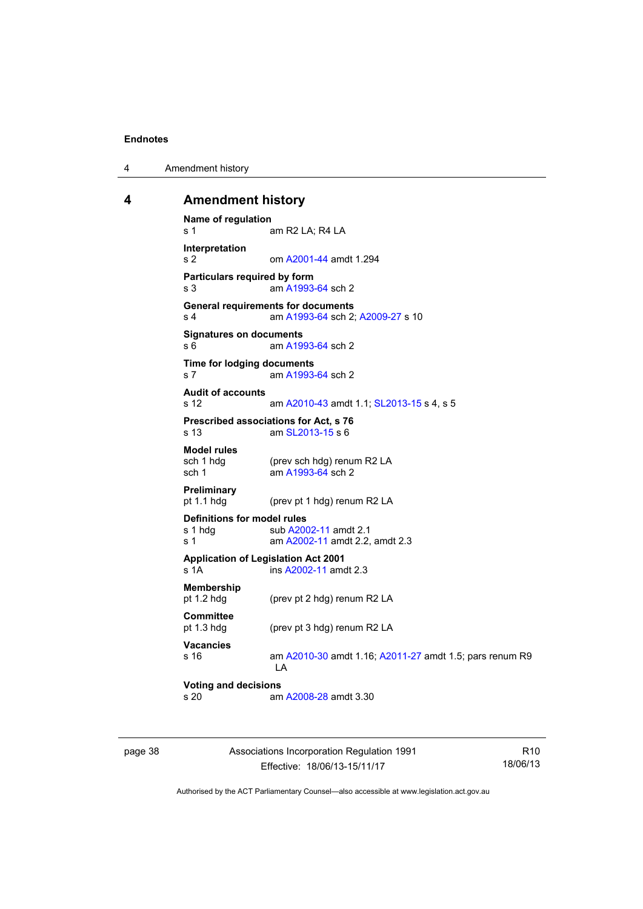4 Amendment history

#### <span id="page-43-0"></span>**4 Amendment history**

```
Name of regulation 
s 1 am R2 LA; R4 LA
Interpretation 
s 2 om A2001-44 amdt 1.294
Particulars required by form 
 A1993-64 sch 2
General requirements for documents 
s 4 am A1993-64 sch 2; A2009-27 s 10 
Signatures on documents 
A1993-64 sch 2
Time for lodging documents 
s 7 am A1993-64 sch 2 
Audit of accounts 
s 12 am A2010-43 amdt 1.1; SL2013-15 s 4, s 5 
Prescribed associations for Act, s 76 
s 13 am SL2013-15 s 6 
Model rules
              (prev sch hdg) renum R2 LA
 A1993-64 sch 2
Preliminary 
              (prev pt 1 hdg) renum R2 LA
Definitions for model rules 
A2002-11 amdt 2.1
s 1  A2002-11 amdt 2.2, amdt 2.3
Application of Legislation Act 2001 
s 1A ins A2002-11 amdt 2.3 
Membership 
pt 1.2 hdg (prev pt 2 hdg) renum R2 LA
Committee 
pt 1.3 hdg (prev pt 3 hdg) renum R2 LA 
Vacancies 
s 16 am A2010-30 amdt 1.16; A2011-27 amdt 1.5; pars renum R9 
               LA 
Voting and decisions 
s 20 A2008-28 amdt 3.30
```
page 38 Associations Incorporation Regulation 1991 Effective: 18/06/13-15/11/17

R10 18/06/13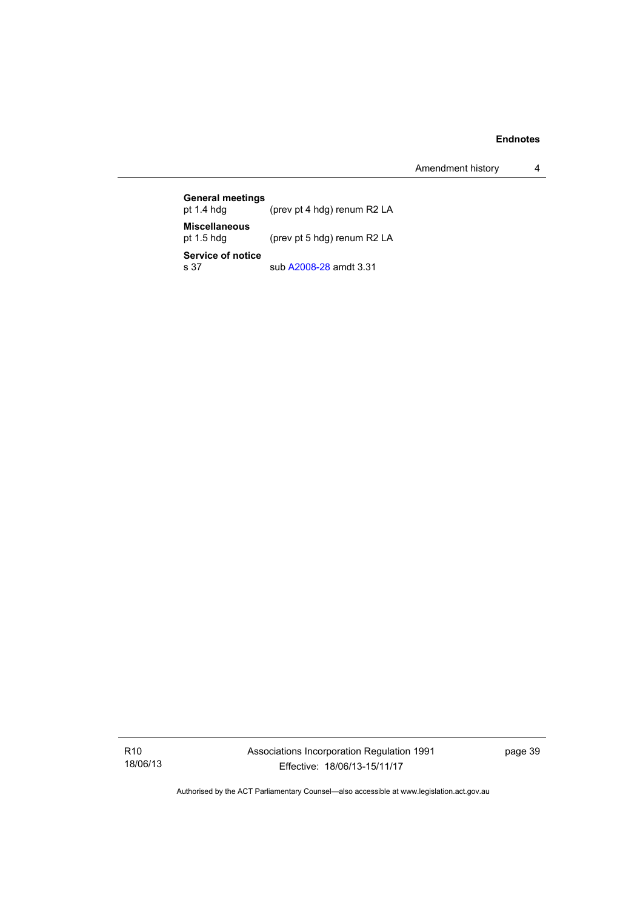Amendment history 4

| <b>General meetings</b><br>pt $1.4$ hdg | (prev pt 4 hdg) renum R2 LA |
|-----------------------------------------|-----------------------------|
| <b>Miscellaneous</b><br>pt $1.5$ hdg    | (prev pt 5 hdg) renum R2 LA |
| Service of notice<br>s 37               | sub A2008-28 amdt 3.31      |

R10 18/06/13 Associations Incorporation Regulation 1991 Effective: 18/06/13-15/11/17

page 39